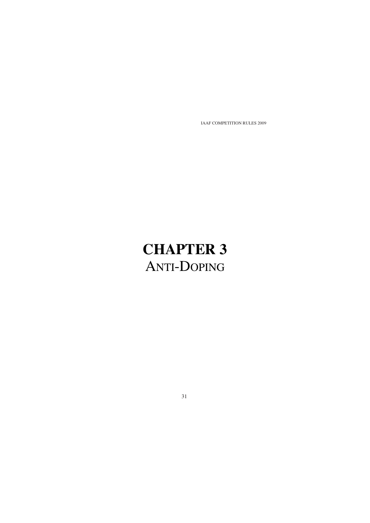# **CHAPTER 3** ANTI-DOPING

31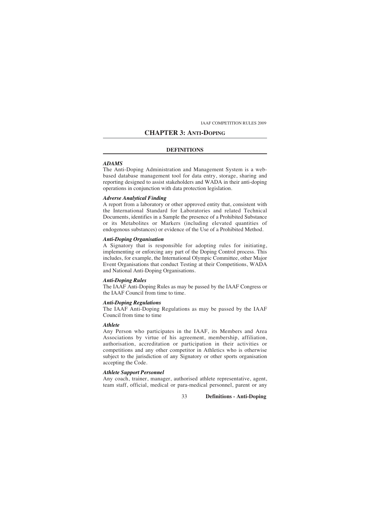# **CHAPTER 3: ANTI-DOPING**

#### **DEFINITIONS**

#### *ADAMS*

The Anti-Doping Administration and Management System is a webbased database management tool for data entry, storage, sharing and reporting designed to assist stakeholders and WADA in their anti-doping operations in conjunction with data protection legislation.

#### *Adverse Analytical Finding*

A report from a laboratory or other approved entity that, consistent with the International Standard for Laboratories and related Technical Documents, identifies in a Sample the presence of a Prohibited Substance or its Metabolites or Markers (including elevated quantities of endogenous substances) or evidence of the Use of a Prohibited Method.

# *Anti-Doping Organisation*

A Signatory that is responsible for adopting rules for initiating, implementing or enforcing any part of the Doping Control process. This includes, for example, the International Olympic Committee, other Major Event Organisations that conduct Testing at their Competitions, WADA and National Anti-Doping Organisations.

#### *Anti-Doping Rules*

The IAAF Anti-Doping Rules as may be passed by the IAAF Congress or the IAAF Council from time to time.

# *Anti-Doping Regulations*

The IAAF Anti-Doping Regulations as may be passed by the IAAF Council from time to time

# *Athlete*

Any Person who participates in the IAAF, its Members and Area Associations by virtue of his agreement, membership, affiliation, authorisation, accreditation or participation in their activities or competitions and any other competitor in Athletics who is otherwise subject to the jurisdiction of any Signatory or other sports organisation accepting the Code.

# *Athlete Support Personnel*

Any coach, trainer, manager, authorised athlete representative, agent, team staff, official, medical or para-medical personnel, parent or any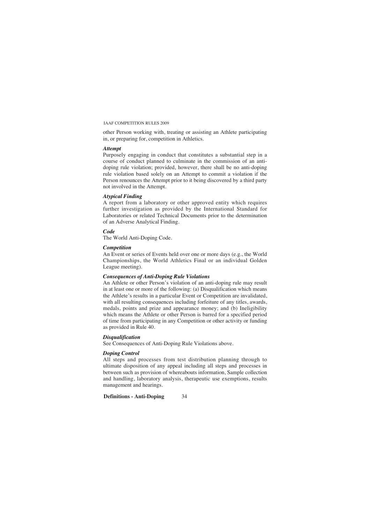other Person working with, treating or assisting an Athlete participating in, or preparing for, competition in Athletics.

# *Attempt*

Purposely engaging in conduct that constitutes a substantial step in a course of conduct planned to culminate in the commission of an antidoping rule violation; provided, however, there shall be no anti-doping rule violation based solely on an Attempt to commit a violation if the Person renounces the Attempt prior to it being discovered by a third party not involved in the Attempt.

#### *Atypical Finding*

A report from a laboratory or other approved entity which requires further investigation as provided by the International Standard for Laboratories or related Technical Documents prior to the determination of an Adverse Analytical Finding.

## *Code*

The World Anti-Doping Code.

# *Competition*

An Event or series of Events held over one or more days (e.g., the World Championships, the World Athletics Final or an individual Golden League meeting).

#### *Consequences of Anti-Doping Rule Violations*

An Athlete or other Person's violation of an anti-doping rule may result in at least one or more of the following: (a) Disqualification which means the Athlete's results in a particular Event or Competition are invalidated, with all resulting consequences including forfeiture of any titles, awards, medals, points and prize and appearance money; and (b) Ineligibility which means the Athlete or other Person is barred for a specified period of time from participating in any Competition or other activity or funding as provided in Rule 40.

# *Disqualification*

See Consequences of Anti-Doping Rule Violations above.

#### *Doping Control*

All steps and processes from test distribution planning through to ultimate disposition of any appeal including all steps and processes in between such as provision of whereabouts information, Sample collection and handling, laboratory analysis, therapeutic use exemptions, results management and hearings.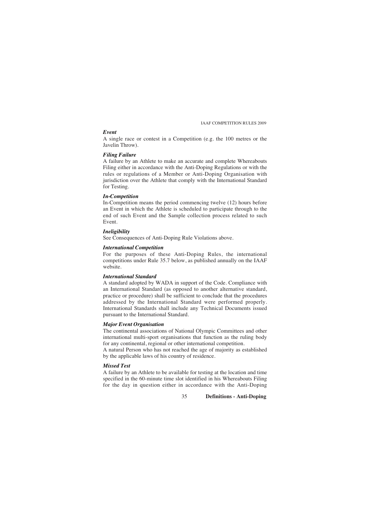# *Event*

A single race or contest in a Competition (e.g. the 100 metres or the Javelin Throw).

#### *Filing Failure*

A failure by an Athlete to make an accurate and complete Whereabouts Filing either in accordance with the Anti-Doping Regulations or with the rules or regulations of a Member or Anti-Doping Organisation with jurisdiction over the Athlete that comply with the International Standard for Testing.

# *In-Competition*

In-Competition means the period commencing twelve (12) hours before an Event in which the Athlete is scheduled to participate through to the end of such Event and the Sample collection process related to such Event.

#### *Ineligibility*

See Consequences of Anti-Doping Rule Violations above.

# *International Competition*

For the purposes of these Anti-Doping Rules, the international competitions under Rule 35.7 below, as published annually on the IAAF website.

# *International Standard*

A standard adopted by WADA in support of the Code. Compliance with an International Standard (as opposed to another alternative standard, practice or procedure) shall be sufficient to conclude that the procedures addressed by the International Standard were performed properly. International Standards shall include any Technical Documents issued pursuant to the International Standard.

# *Major Event Organisation*

The continental associations of National Olympic Committees and other international multi-sport organisations that function as the ruling body for any continental, regional or other international competition.

A natural Person who has not reached the age of majority as established by the applicable laws of his country of residence.

# *Missed Test*

A failure by an Athlete to be available for testing at the location and time specified in the 60-minute time slot identified in his Whereabouts Filing for the day in question either in accordance with the Anti-Doping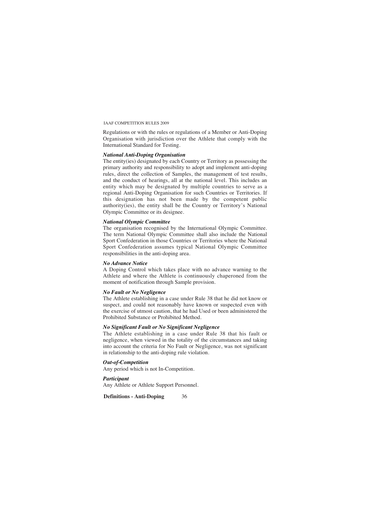Regulations or with the rules or regulations of a Member or Anti-Doping Organisation with jurisdiction over the Athlete that comply with the International Standard for Testing.

#### *National Anti-Doping Organisation*

The entity(ies) designated by each Country or Territory as possessing the primary authority and responsibility to adopt and implement anti-doping rules, direct the collection of Samples, the management of test results, and the conduct of hearings, all at the national level. This includes an entity which may be designated by multiple countries to serve as a regional Anti-Doping Organisation for such Countries or Territories. If this designation has not been made by the competent public authority(ies), the entity shall be the Country or Territory's National Olympic Committee or its designee.

#### *National Olympic Committee*

The organisation recognised by the International Olympic Committee. The term National Olympic Committee shall also include the National Sport Confederation in those Countries or Territories where the National Sport Confederation assumes typical National Olympic Committee responsibilities in the anti-doping area.

# *No Advance Notice*

A Doping Control which takes place with no advance warning to the Athlete and where the Athlete is continuously chaperoned from the moment of notification through Sample provision.

#### *No Fault or No Negligence*

The Athlete establishing in a case under Rule 38 that he did not know or suspect, and could not reasonably have known or suspected even with the exercise of utmost caution, that he had Used or been administered the Prohibited Substance or Prohibited Method.

# *No Significant Fault or No Significant Negligence*

The Athlete establishing in a case under Rule 38 that his fault or negligence, when viewed in the totality of the circumstances and taking into account the criteria for No Fault or Negligence, was not significant in relationship to the anti-doping rule violation.

# *Out-of-Competition*

Any period which is not In-Competition.

# *Participant*

Any Athlete or Athlete Support Personnel.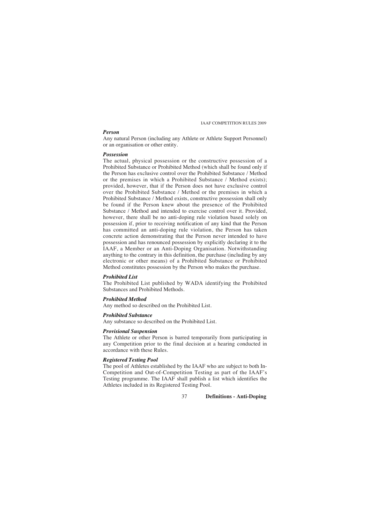#### *Person*

Any natural Person (including any Athlete or Athlete Support Personnel) or an organisation or other entity.

#### *Possession*

The actual, physical possession or the constructive possession of a Prohibited Substance or Prohibited Method (which shall be found only if the Person has exclusive control over the Prohibited Substance / Method or the premises in which a Prohibited Substance / Method exists); provided, however, that if the Person does not have exclusive control over the Prohibited Substance / Method or the premises in which a Prohibited Substance / Method exists, constructive possession shall only be found if the Person knew about the presence of the Prohibited Substance / Method and intended to exercise control over it. Provided, however, there shall be no anti-doping rule violation based solely on possession if, prior to receiving notification of any kind that the Person has committed an anti-doping rule violation, the Person has taken concrete action demonstrating that the Person never intended to have possession and has renounced possession by explicitly declaring it to the IAAF, a Member or an Anti-Doping Organisation. Notwithstanding anything to the contrary in this definition, the purchase (including by any electronic or other means) of a Prohibited Substance or Prohibited Method constitutes possession by the Person who makes the purchase.

#### *Prohibited List*

The Prohibited List published by WADA identifying the Prohibited Substances and Prohibited Methods.

#### *Prohibited Method*

Any method so described on the Prohibited List.

# *Prohibited Substance*

Any substance so described on the Prohibited List.

#### *Provisional Suspension*

The Athlete or other Person is barred temporarily from participating in any Competition prior to the final decision at a hearing conducted in accordance with these Rules.

# *Registered Testing Pool*

The pool of Athletes established by the IAAF who are subject to both In-Competition and Out-of-Competition Testing as part of the IAAF's Testing programme. The IAAF shall publish a list which identifies the Athletes included in its Registered Testing Pool.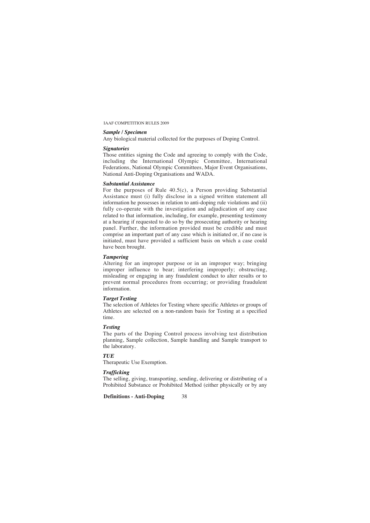# *Sample / Specimen*

Any biological material collected for the purposes of Doping Control.

# *Signatories*

Those entities signing the Code and agreeing to comply with the Code, including the International Olympic Committee, International Federations, National Olympic Committees, Major Event Organisations, National Anti-Doping Organisations and WADA.

# *Substantial Assistance*

For the purposes of Rule  $40.5(c)$ , a Person providing Substantial Assistance must (i) fully disclose in a signed written statement all information he possesses in relation to anti-doping rule violations and (ii) fully co-operate with the investigation and adjudication of any case related to that information, including, for example, presenting testimony at a hearing if requested to do so by the prosecuting authority or hearing panel. Further, the information provided must be credible and must comprise an important part of any case which is initiated or, if no case is initiated, must have provided a sufficient basis on which a case could have been brought.

#### *Tampering*

Altering for an improper purpose or in an improper way; bringing improper influence to bear; interfering improperly; obstructing, misleading or engaging in any fraudulent conduct to alter results or to prevent normal procedures from occurring; or providing fraudulent information.

# *Target Testing*

The selection of Athletes for Testing where specific Athletes or groups of Athletes are selected on a non-random basis for Testing at a specified time.

#### *Testing*

The parts of the Doping Control process involving test distribution planning, Sample collection, Sample handling and Sample transport to the laboratory.

# *TUE*

Therapeutic Use Exemption.

# *Trafficking*

The selling, giving, transporting, sending, delivering or distributing of a Prohibited Substance or Prohibited Method (either physically or by any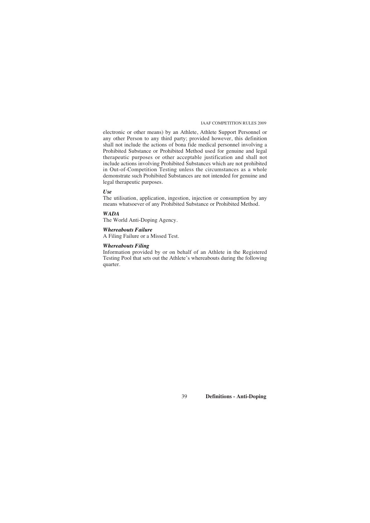electronic or other means) by an Athlete, Athlete Support Personnel or any other Person to any third party; provided however, this definition shall not include the actions of bona fide medical personnel involving a Prohibited Substance or Prohibited Method used for genuine and legal therapeutic purposes or other acceptable justification and shall not include actions involving Prohibited Substances which are not prohibited in Out-of-Competition Testing unless the circumstances as a whole demonstrate such Prohibited Substances are not intended for genuine and legal therapeutic purposes.

#### *Use*

The utilisation, application, ingestion, injection or consumption by any means whatsoever of any Prohibited Substance or Prohibited Method.

# *WADA*

The World Anti-Doping Agency.

# *Whereabouts Failure*

A Filing Failure or a Missed Test.

# *Whereabouts Filing*

Information provided by or on behalf of an Athlete in the Registered Testing Pool that sets out the Athlete's whereabouts during the following quarter.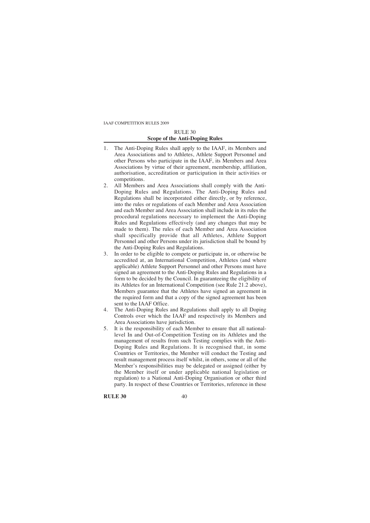# RULE 30 **Scope of the Anti-Doping Rules**

- 1. The Anti-Doping Rules shall apply to the IAAF, its Members and Area Associations and to Athletes, Athlete Support Personnel and other Persons who participate in the IAAF, its Members and Area Associations by virtue of their agreement, membership, affiliation, authorisation, accreditation or participation in their activities or competitions.
- 2. All Members and Area Associations shall comply with the Anti-Doping Rules and Regulations. The Anti-Doping Rules and Regulations shall be incorporated either directly, or by reference, into the rules or regulations of each Member and Area Association and each Member and Area Association shall include in its rules the procedural regulations necessary to implement the Anti-Doping Rules and Regulations effectively (and any changes that may be made to them). The rules of each Member and Area Association shall specifically provide that all Athletes, Athlete Support Personnel and other Persons under its jurisdiction shall be bound by the Anti-Doping Rules and Regulations.
- 3. In order to be eligible to compete or participate in, or otherwise be accredited at, an International Competition, Athletes (and where applicable) Athlete Support Personnel and other Persons must have signed an agreement to the Anti-Doping Rules and Regulations in a form to be decided by the Council. In guaranteeing the eligibility of its Athletes for an International Competition (see Rule 21.2 above), Members guarantee that the Athletes have signed an agreement in the required form and that a copy of the signed agreement has been sent to the IAAF Office.
- 4. The Anti-Doping Rules and Regulations shall apply to all Doping Controls over which the IAAF and respectively its Members and Area Associations have jurisdiction.
- 5. It is the responsibility of each Member to ensure that all nationallevel In and Out-of-Competition Testing on its Athletes and the management of results from such Testing complies with the Anti-Doping Rules and Regulations. It is recognised that, in some Countries or Territories, the Member will conduct the Testing and result management process itself whilst, in others, some or all of the Member's responsibilities may be delegated or assigned (either by the Member itself or under applicable national legislation or regulation) to a National Anti-Doping Organisation or other third party. In respect of these Countries or Territories, reference in these

**RULE 30** 40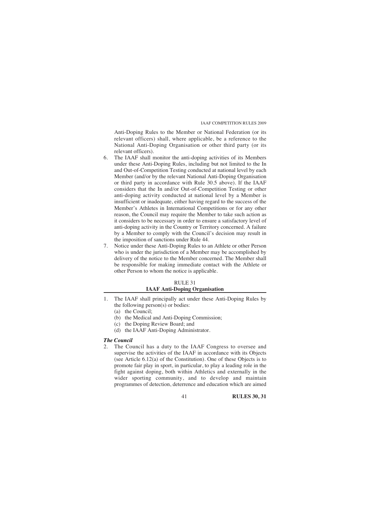Anti-Doping Rules to the Member or National Federation (or its relevant officers) shall, where applicable, be a reference to the National Anti-Doping Organisation or other third party (or its relevant officers).

- 6. The IAAF shall monitor the anti-doping activities of its Members under these Anti-Doping Rules, including but not limited to the In and Out-of-Competition Testing conducted at national level by each Member (and/or by the relevant National Anti-Doping Organisation or third party in accordance with Rule 30.5 above). If the IAAF considers that the In and/or Out-of-Competition Testing or other anti-doping activity conducted at national level by a Member is insufficient or inadequate, either having regard to the success of the Member's Athletes in International Competitions or for any other reason, the Council may require the Member to take such action as it considers to be necessary in order to ensure a satisfactory level of anti-doping activity in the Country or Territory concerned. A failure by a Member to comply with the Council's decision may result in the imposition of sanctions under Rule 44.
- 7. Notice under these Anti-Doping Rules to an Athlete or other Person who is under the jurisdiction of a Member may be accomplished by delivery of the notice to the Member concerned. The Member shall be responsible for making immediate contact with the Athlete or other Person to whom the notice is applicable.

# RULE 31 **IAAF Anti-Doping Organisation**

- 1. The IAAF shall principally act under these Anti-Doping Rules by the following person(s) or bodies:
	- (a) the Council;
	- (b) the Medical and Anti-Doping Commission;
	- (c) the Doping Review Board; and
	- (d) the IAAF Anti-Doping Administrator.

#### *The Council*

2. The Council has a duty to the IAAF Congress to oversee and supervise the activities of the IAAF in accordance with its Objects (see Article 6.12(a) of the Constitution). One of these Objects is to promote fair play in sport, in particular, to play a leading role in the fight against doping, both within Athletics and externally in the wider sporting community, and to develop and maintain programmes of detection, deterrence and education which are aimed

41 **RULES 30, 31**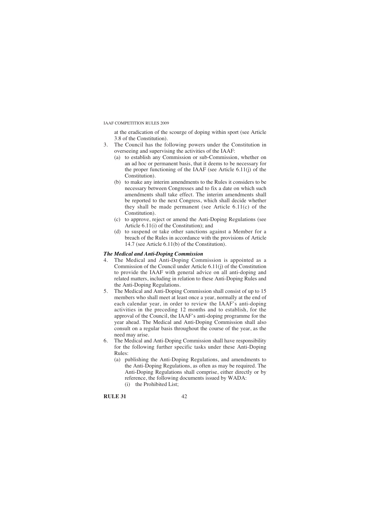at the eradication of the scourge of doping within sport (see Article 3.8 of the Constitution).

- 3. The Council has the following powers under the Constitution in overseeing and supervising the activities of the IAAF:
	- (a) to establish any Commission or sub-Commission, whether on an ad hoc or permanent basis, that it deems to be necessary for the proper functioning of the IAAF (see Article 6.11(j) of the Constitution).
	- (b) to make any interim amendments to the Rules it considers to be necessary between Congresses and to fix a date on which such amendments shall take effect. The interim amendments shall be reported to the next Congress, which shall decide whether they shall be made permanent (see Article 6.11(c) of the Constitution).
	- (c) to approve, reject or amend the Anti-Doping Regulations (see Article 6.11(i) of the Constitution); and
	- (d) to suspend or take other sanctions against a Member for a breach of the Rules in accordance with the provisions of Article 14.7 (see Article 6.11(b) of the Constitution).

# *The Medical and Anti-Doping Commission*

- 4. The Medical and Anti-Doping Commission is appointed as a Commission of the Council under Article 6.11(j) of the Constitution to provide the IAAF with general advice on all anti-doping and related matters, including in relation to these Anti-Doping Rules and the Anti-Doping Regulations.
- 5. The Medical and Anti-Doping Commission shall consist of up to 15 members who shall meet at least once a year, normally at the end of each calendar year, in order to review the IAAF's anti-doping activities in the preceding 12 months and to establish, for the approval of the Council, the IAAF's anti-doping programme for the year ahead. The Medical and Anti-Doping Commission shall also consult on a regular basis throughout the course of the year, as the need may arise.
- 6. The Medical and Anti-Doping Commission shall have responsibility for the following further specific tasks under these Anti-Doping Rules:
	- (a) publishing the Anti-Doping Regulations, and amendments to the Anti-Doping Regulations, as often as may be required. The Anti-Doping Regulations shall comprise, either directly or by reference, the following documents issued by WADA: (i) the Prohibited List;

# **RULE 31** 42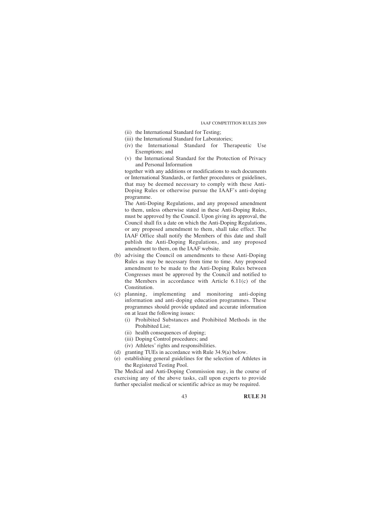- (ii) the International Standard for Testing;
- (iii) the International Standard for Laboratories;
- (iv) the International Standard for Therapeutic Use Exemptions; and
- (v) the International Standard for the Protection of Privacy and Personal Information

together with any additions or modifications to such documents or International Standards, or further procedures or guidelines, that may be deemed necessary to comply with these Anti-Doping Rules or otherwise pursue the IAAF's anti-doping programme.

The Anti-Doping Regulations, and any proposed amendment to them, unless otherwise stated in these Anti-Doping Rules, must be approved by the Council. Upon giving its approval, the Council shall fix a date on which the Anti-Doping Regulations, or any proposed amendment to them, shall take effect. The IAAF Office shall notify the Members of this date and shall publish the Anti-Doping Regulations, and any proposed amendment to them, on the IAAF website.

- (b) advising the Council on amendments to these Anti-Doping Rules as may be necessary from time to time. Any proposed amendment to be made to the Anti-Doping Rules between Congresses must be approved by the Council and notified to the Members in accordance with Article 6.11(c) of the Constitution.
- (c) planning, implementing and monitoring anti-doping information and anti-doping education programmes. These programmes should provide updated and accurate information on at least the following issues:
	- (i) Prohibited Substances and Prohibited Methods in the Prohibited List;
	- (ii) health consequences of doping;
	- (iii) Doping Control procedures; and
	- (iv) Athletes' rights and responsibilities.
- (d) granting TUEs in accordance with Rule 34.9(a) below.
- (e) establishing general guidelines for the selection of Athletes in the Registered Testing Pool.

The Medical and Anti-Doping Commission may, in the course of exercising any of the above tasks, call upon experts to provide further specialist medical or scientific advice as may be required.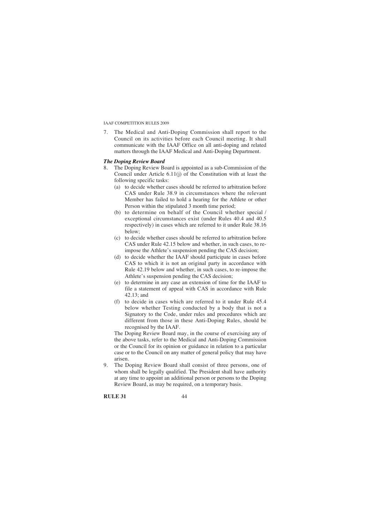7. The Medical and Anti-Doping Commission shall report to the Council on its activities before each Council meeting. It shall communicate with the IAAF Office on all anti-doping and related matters through the IAAF Medical and Anti-Doping Department.

# *The Doping Review Board*

- 8. The Doping Review Board is appointed as a sub-Commission of the Council under Article 6.11(j) of the Constitution with at least the following specific tasks:
	- (a) to decide whether cases should be referred to arbitration before CAS under Rule 38.9 in circumstances where the relevant Member has failed to hold a hearing for the Athlete or other Person within the stipulated 3 month time period;
	- (b) to determine on behalf of the Council whether special / exceptional circumstances exist (under Rules 40.4 and 40.5 respectively) in cases which are referred to it under Rule 38.16 below;
	- (c) to decide whether cases should be referred to arbitration before CAS under Rule 42.15 below and whether, in such cases, to reimpose the Athlete's suspension pending the CAS decision;
	- (d) to decide whether the IAAF should participate in cases before CAS to which it is not an original party in accordance with Rule 42.19 below and whether, in such cases, to re-impose the Athlete's suspension pending the CAS decision;
	- (e) to determine in any case an extension of time for the IAAF to file a statement of appeal with CAS in accordance with Rule 42.13; and
	- (f) to decide in cases which are referred to it under Rule 45.4 below whether Testing conducted by a body that is not a Signatory to the Code, under rules and procedures which are different from those in these Anti-Doping Rules, should be recognised by the IAAF.

The Doping Review Board may, in the course of exercising any of the above tasks, refer to the Medical and Anti-Doping Commission or the Council for its opinion or guidance in relation to a particular case or to the Council on any matter of general policy that may have arisen.

9. The Doping Review Board shall consist of three persons, one of whom shall be legally qualified. The President shall have authority at any time to appoint an additional person or persons to the Doping Review Board, as may be required, on a temporary basis.

**RULE 31** 44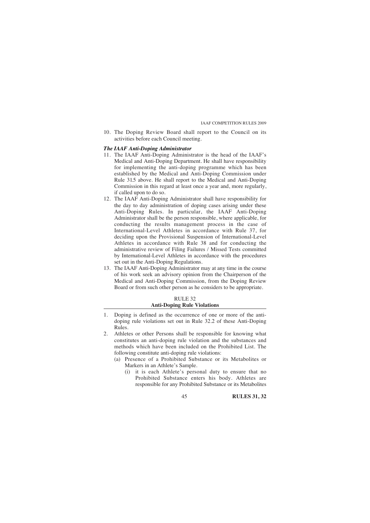10. The Doping Review Board shall report to the Council on its activities before each Council meeting.

## *The IAAF Anti-Doping Administrator*

- 11. The IAAF Anti-Doping Administrator is the head of the IAAF's Medical and Anti-Doping Department. He shall have responsibility for implementing the anti-doping programme which has been established by the Medical and Anti-Doping Commission under Rule 31.5 above. He shall report to the Medical and Anti-Doping Commission in this regard at least once a year and, more regularly, if called upon to do so.
- 12. The IAAF Anti-Doping Administrator shall have responsibility for the day to day administration of doping cases arising under these Anti-Doping Rules. In particular, the IAAF Anti-Doping Administrator shall be the person responsible, where applicable, for conducting the results management process in the case of International-Level Athletes in accordance with Rule 37, for deciding upon the Provisional Suspension of International-Level Athletes in accordance with Rule 38 and for conducting the administrative review of Filing Failures / Missed Tests committed by International-Level Athletes in accordance with the procedures set out in the Anti-Doping Regulations.
- 13. The IAAF Anti-Doping Administrator may at any time in the course of his work seek an advisory opinion from the Chairperson of the Medical and Anti-Doping Commission, from the Doping Review Board or from such other person as he considers to be appropriate.

#### RULE 32 **Anti-Doping Rule Violations**

- 1. Doping is defined as the occurrence of one or more of the antidoping rule violations set out in Rule 32.2 of these Anti-Doping Rules.
- 2. Athletes or other Persons shall be responsible for knowing what constitutes an anti-doping rule violation and the substances and methods which have been included on the Prohibited List. The following constitute anti-doping rule violations:
	- (a) Presence of a Prohibited Substance or its Metabolites or Markers in an Athlete's Sample.
		- (i) it is each Athlete's personal duty to ensure that no Prohibited Substance enters his body. Athletes are responsible for any Prohibited Substance or its Metabolites

45 **RULES 31, 32**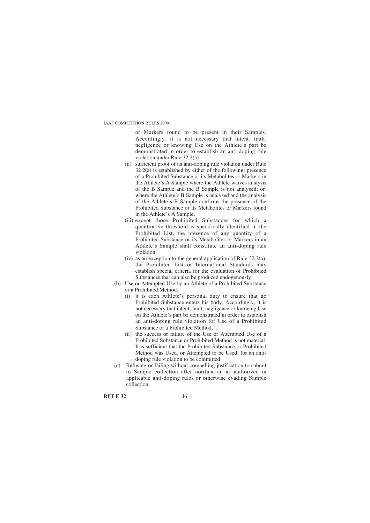or Markers found to be present in their Samples. Accordingly, it is not necessary that intent, fault, negligence or knowing Use on the Athlete's part be demonstrated in order to establish an anti-doping rule violation under Rule 32.2(a).

- (ii) sufficient proof of an anti-doping rule violation under Rule 32.2(a) is established by either of the following: presence of a Prohibited Substance or its Metabolites or Markers in the Athlete's A Sample where the Athlete waives analysis of the B Sample and the B Sample is not analysed; or, where the Athlete's B Sample is analysed and the analysis of the Athlete's B Sample confirms the presence of the Prohibited Substance or its Metabolites or Markers found in the Athlete's A Sample.
- (iii) except those Prohibited Substances for which a quantitative threshold is specifically identified in the Prohibited List, the presence of any quantity of a Prohibited Substance or its Metabolites or Markers in an Athlete's Sample shall constitute an anti-doping rule violation.
- (iv) as an exception to the general application of Rule 32.2(a), the Prohibited List or International Standards may establish special criteria for the evaluation of Prohibited Substances that can also be produced endogenously.
- (b) Use or Attempted Use by an Athlete of a Prohibited Substance or a Prohibited Method.
	- (i) it is each Athlete's personal duty to ensure that no Prohibited Substance enters his body. Accordingly, it is not necessary that intent, fault, negligence or knowing Use on the Athlete's part be demonstrated in order to establish an anti-doping rule violation for Use of a Prohibited Substance or a Prohibited Method.
	- (ii) the success or failure of the Use or Attempted Use of a Prohibited Substance or Prohibited Method is not material. It is sufficient that the Prohibited Substance or Prohibited Method was Used, or Attempted to be Used, for an antidoping rule violation to be committed.
- (c) Refusing or failing without compelling justification to submit to Sample collection after notification as authorized in applicable anti-doping rules or otherwise evading Sample collection.

**RULE 32** 46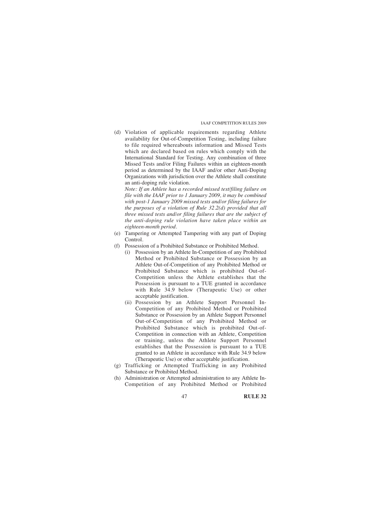(d) Violation of applicable requirements regarding Athlete availability for Out-of-Competition Testing, including failure to file required whereabouts information and Missed Tests which are declared based on rules which comply with the International Standard for Testing. Any combination of three Missed Tests and/or Filing Failures within an eighteen-month period as determined by the IAAF and/or other Anti-Doping Organizations with jurisdiction over the Athlete shall constitute an anti-doping rule violation.

*Note: If an Athlete has a recorded missed test/filing failure on file with the IAAF prior to 1 January 2009, it may be combined with post-1 January 2009 missed tests and/or filing failures for the purposes of a violation of Rule 32.2(d) provided that all three missed tests and/or filing failures that are the subject of the anti-doping rule violation have taken place within an eighteen-month period.*

- (e) Tampering or Attempted Tampering with any part of Doping **Control**
- (f) Possession of a Prohibited Substance or Prohibited Method.
	- (i) Possession by an Athlete In-Competition of any Prohibited Method or Prohibited Substance or Possession by an Athlete Out-of-Competition of any Prohibited Method or Prohibited Substance which is prohibited Out-of-Competition unless the Athlete establishes that the Possession is pursuant to a TUE granted in accordance with Rule  $34.9$  below (Therapeutic Use) or other acceptable justification.
	- (ii) Possession by an Athlete Support Personnel In-Competition of any Prohibited Method or Prohibited Substance or Possession by an Athlete Support Personnel Out-of-Competition of any Prohibited Method or Prohibited Substance which is prohibited Out-of-Competition in connection with an Athlete, Competition or training, unless the Athlete Support Personnel establishes that the Possession is pursuant to a TUE granted to an Athlete in accordance with Rule 34.9 below (Therapeutic Use) or other acceptable justification.
- (g) Trafficking or Attempted Trafficking in any Prohibited Substance or Prohibited Method.
- (h) Administration or Attempted administration to any Athlete In-Competition of any Prohibited Method or Prohibited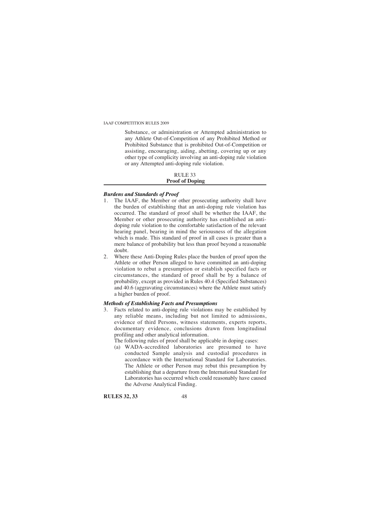Substance, or administration or Attempted administration to any Athlete Out-of-Competition of any Prohibited Method or Prohibited Substance that is prohibited Out-of-Competition or assisting, encouraging, aiding, abetting, covering up or any other type of complicity involving an anti-doping rule violation or any Attempted anti-doping rule violation.

## RULE 33 **Proof of Doping**

# *Burdens and Standards of Proof*

- 1. The IAAF, the Member or other prosecuting authority shall have the burden of establishing that an anti-doping rule violation has occurred. The standard of proof shall be whether the IAAF, the Member or other prosecuting authority has established an antidoping rule violation to the comfortable satisfaction of the relevant hearing panel, bearing in mind the seriousness of the allegation which is made. This standard of proof in all cases is greater than a mere balance of probability but less than proof beyond a reasonable doubt.
- 2. Where these Anti-Doping Rules place the burden of proof upon the Athlete or other Person alleged to have committed an anti-doping violation to rebut a presumption or establish specified facts or circumstances, the standard of proof shall be by a balance of probability, except as provided in Rules 40.4 (Specified Substances) and 40.6 (aggravating circumstances) where the Athlete must satisfy a higher burden of proof.

# *Methods of Establishing Facts and Presumptions*

- 3. Facts related to anti-doping rule violations may be established by any reliable means, including but not limited to admissions, evidence of third Persons, witness statements, experts reports, documentary evidence, conclusions drawn from longitudinal profiling and other analytical information.
	- The following rules of proof shall be applicable in doping cases:
	- (a) WADA-accredited laboratories are presumed to have conducted Sample analysis and custodial procedures in accordance with the International Standard for Laboratories. The Athlete or other Person may rebut this presumption by establishing that a departure from the International Standard for Laboratories has occurred which could reasonably have caused the Adverse Analytical Finding.

**RULES 32, 33** 48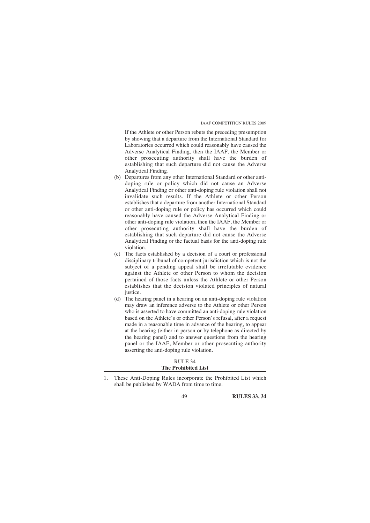If the Athlete or other Person rebuts the preceding presumption by showing that a departure from the International Standard for Laboratories occurred which could reasonably have caused the Adverse Analytical Finding, then the IAAF, the Member or other prosecuting authority shall have the burden of establishing that such departure did not cause the Adverse Analytical Finding.

- (b) Departures from any other International Standard or other antidoping rule or policy which did not cause an Adverse Analytical Finding or other anti-doping rule violation shall not invalidate such results. If the Athlete or other Person establishes that a departure from another International Standard or other anti-doping rule or policy has occurred which could reasonably have caused the Adverse Analytical Finding or other anti-doping rule violation, then the IAAF, the Member or other prosecuting authority shall have the burden of establishing that such departure did not cause the Adverse Analytical Finding or the factual basis for the anti-doping rule violation.
- (c) The facts established by a decision of a court or professional disciplinary tribunal of competent jurisdiction which is not the subject of a pending appeal shall be irrefutable evidence against the Athlete or other Person to whom the decision pertained of those facts unless the Athlete or other Person establishes that the decision violated principles of natural justice.
- (d) The hearing panel in a hearing on an anti-doping rule violation may draw an inference adverse to the Athlete or other Person who is asserted to have committed an anti-doping rule violation based on the Athlete's or other Person's refusal, after a request made in a reasonable time in advance of the hearing, to appear at the hearing (either in person or by telephone as directed by the hearing panel) and to answer questions from the hearing panel or the IAAF, Member or other prosecuting authority asserting the anti-doping rule violation.

# RULE 34 **The Prohibited List**

<sup>1.</sup> These Anti-Doping Rules incorporate the Prohibited List which shall be published by WADA from time to time.

<sup>49</sup> **RULES 33, 34**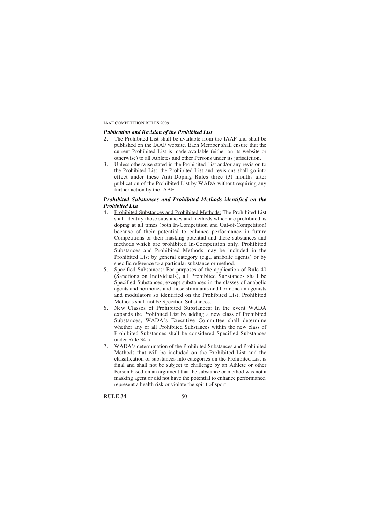# *Publication and Revision of the Prohibited List*

- 2. The Prohibited List shall be available from the IAAF and shall be published on the IAAF website. Each Member shall ensure that the current Prohibited List is made available (either on its website or otherwise) to all Athletes and other Persons under its jurisdiction.
- 3. Unless otherwise stated in the Prohibited List and/or any revision to the Prohibited List, the Prohibited List and revisions shall go into effect under these Anti-Doping Rules three (3) months after publication of the Prohibited List by WADA without requiring any further action by the IAAF.

#### *Prohibited Substances and Prohibited Methods identified on the Prohibited List*

- 4. Prohibited Substances and Prohibited Methods: The Prohibited List shall identify those substances and methods which are prohibited as doping at all times (both In-Competition and Out-of-Competition) because of their potential to enhance performance in future Competitions or their masking potential and those substances and methods which are prohibited In-Competition only. Prohibited Substances and Prohibited Methods may be included in the Prohibited List by general category (e.g., anabolic agents) or by specific reference to a particular substance or method.
- 5. Specified Substances: For purposes of the application of Rule 40 (Sanctions on Individuals), all Prohibited Substances shall be Specified Substances, except substances in the classes of anabolic agents and hormones and those stimulants and hormone antagonists and modulators so identified on the Prohibited List. Prohibited Methods shall not be Specified Substances.
- 6. New Classes of Prohibited Substances: In the event WADA expands the Prohibited List by adding a new class of Prohibited Substances, WADA's Executive Committee shall determine whether any or all Prohibited Substances within the new class of Prohibited Substances shall be considered Specified Substances under Rule 34.5.
- 7. WADA's determination of the Prohibited Substances and Prohibited Methods that will be included on the Prohibited List and the classification of substances into categories on the Prohibited List is final and shall not be subject to challenge by an Athlete or other Person based on an argument that the substance or method was not a masking agent or did not have the potential to enhance performance, represent a health risk or violate the spirit of sport.

**RULE 34** 50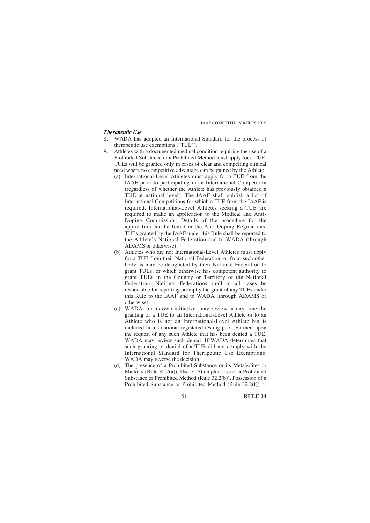#### *Therapeutic Use*

- 8. WADA has adopted an International Standard for the process of therapeutic use exemptions ("TUE").
- 9. Athletes with a documented medical condition requiring the use of a Prohibited Substance or a Prohibited Method must apply for a TUE. TUEs will be granted only in cases of clear and compelling clinical need where no competitive advantage can be gained by the Athlete.
	- (a) International-Level Athletes must apply for a TUE from the IAAF prior to participating in an International Competition (regardless of whether the Athlete has previously obtained a TUE at national level). The IAAF shall publish a list of International Competitions for which a TUE from the IAAF is required. International-Level Athletes seeking a TUE are required to make an application to the Medical and Anti-Doping Commission. Details of the procedure for the application can be found in the Anti-Doping Regulations. TUEs granted by the IAAF under this Rule shall be reported to the Athlete's National Federation and to WADA (through ADAMS or otherwise).
	- (b) Athletes who are not International-Level Athletes must apply for a TUE from their National Federation, or from such other body as may be designated by their National Federation to grant TUEs, or which otherwise has competent authority to grant TUEs in the Country or Territory of the National Federation. National Federations shall in all cases be responsible for reporting promptly the grant of any TUEs under this Rule to the IAAF and to WADA (through ADAMS or otherwise).
	- (c) WADA, on its own initiative, may review at any time the granting of a TUE to an International-Level Athlete or to an Athlete who is not an International-Level Athlete but is included in his national registered testing pool. Further, upon the request of any such Athlete that has been denied a TUE, WADA may review such denial. If WADA determines that such granting or denial of a TUE did not comply with the International Standard for Therapeutic Use Exemptions, WADA may reverse the decision.
	- (d) The presence of a Prohibited Substance or its Metabolites or Markers (Rule 32.2(a)), Use or Attempted Use of a Prohibited Substance or Prohibited Method (Rule 32.2(b)), Possession of a Prohibited Substance or Prohibited Method (Rule 32.2(f)) or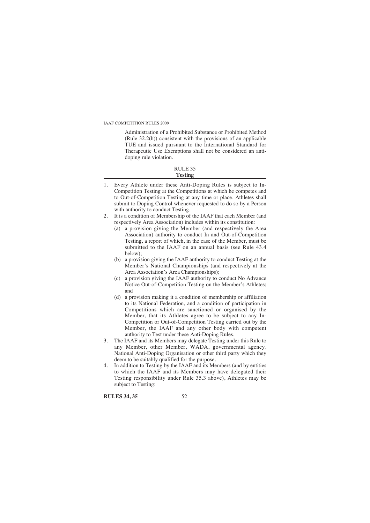Administration of a Prohibited Substance or Prohibited Method (Rule 32.2(h)) consistent with the provisions of an applicable TUE and issued pursuant to the International Standard for Therapeutic Use Exemptions shall not be considered an antidoping rule violation.

#### RULE 35 **Testing**

- 1. Every Athlete under these Anti-Doping Rules is subject to In-Competition Testing at the Competitions at which he competes and to Out-of-Competition Testing at any time or place. Athletes shall submit to Doping Control whenever requested to do so by a Person with authority to conduct Testing.
- 2. It is a condition of Membership of the IAAF that each Member (and respectively Area Association) includes within its constitution:
	- (a) a provision giving the Member (and respectively the Area Association) authority to conduct In and Out-of-Competition Testing, a report of which, in the case of the Member, must be submitted to the IAAF on an annual basis (see Rule 43.4 below);
	- (b) a provision giving the IAAF authority to conduct Testing at the Member's National Championships (and respectively at the Area Association's Area Championships);
	- (c) a provision giving the IAAF authority to conduct No Advance Notice Out-of-Competition Testing on the Member's Athletes; and
	- (d) a provision making it a condition of membership or affiliation to its National Federation, and a condition of participation in Competitions which are sanctioned or organised by the Member, that its Athletes agree to be subject to any In-Competition or Out-of-Competition Testing carried out by the Member, the IAAF and any other body with competent authority to Test under these Anti-Doping Rules.
- 3. The IAAF and its Members may delegate Testing under this Rule to any Member, other Member, WADA, governmental agency, National Anti-Doping Organisation or other third party which they deem to be suitably qualified for the purpose.
- 4. In addition to Testing by the IAAF and its Members (and by entities to which the IAAF and its Members may have delegated their Testing responsibility under Rule 35.3 above), Athletes may be subject to Testing:

**RULES 34, 35** 52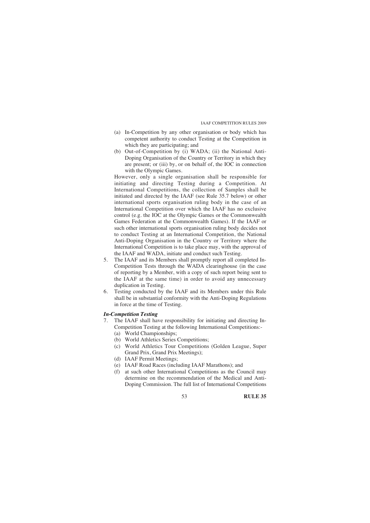- (a) In-Competition by any other organisation or body which has competent authority to conduct Testing at the Competition in which they are participating; and
- (b) Out-of-Competition by (i) WADA; (ii) the National Anti-Doping Organisation of the Country or Territory in which they are present; or (iii) by, or on behalf of, the IOC in connection with the Olympic Games.

However, only a single organisation shall be responsible for initiating and directing Testing during a Competition. At International Competitions, the collection of Samples shall be initiated and directed by the IAAF (see Rule 35.7 below) or other international sports organisation ruling body in the case of an International Competition over which the IAAF has no exclusive control (e.g. the IOC at the Olympic Games or the Commonwealth Games Federation at the Commonwealth Games). If the IAAF or such other international sports organisation ruling body decides not to conduct Testing at an International Competition, the National Anti-Doping Organisation in the Country or Territory where the International Competition is to take place may, with the approval of the IAAF and WADA, initiate and conduct such Testing.

- 5. The IAAF and its Members shall promptly report all completed In-Competition Tests through the WADA clearinghouse (in the case of reporting by a Member, with a copy of such report being sent to the IAAF at the same time) in order to avoid any unnecessary duplication in Testing.
- 6. Testing conducted by the IAAF and its Members under this Rule shall be in substantial conformity with the Anti-Doping Regulations in force at the time of Testing.

# *In-Competition Testing*

- 7. The IAAF shall have responsibility for initiating and directing In-Competition Testing at the following International Competitions:- (a) World Championships;
	-
	- (b) World Athletics Series Competitions;
	- (c) World Athletics Tour Competitions (Golden League, Super Grand Prix, Grand Prix Meetings);
	- (d) IAAF Permit Meetings;
	- (e) IAAF Road Races (including IAAF Marathons); and
	- (f) at such other International Competitions as the Council may determine on the recommendation of the Medical and Anti-Doping Commission. The full list of International Competitions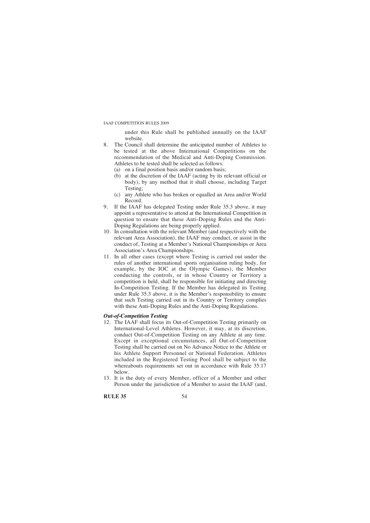under this Rule shall be published annually on the IAAF website.

- 8. The Council shall determine the anticipated number of Athletes to be tested at the above International Competitions on the recommendation of the Medical and Anti-Doping Commission. Athletes to be tested shall be selected as follows:
	- (a) on a final position basis and/or random basis;
	- (b) at the discretion of the IAAF (acting by its relevant official or body), by any method that it shall choose, including Target Testing;
	- (c) any Athlete who has broken or equalled an Area and/or World Record.
- 9. If the IAAF has delegated Testing under Rule 35.3 above, it may appoint a representative to attend at the International Competition in question to ensure that these Anti-Doping Rules and the Anti-Doping Regulations are being properly applied.
- 10. In consultation with the relevant Member (and respectively with the relevant Area Association), the IAAF may conduct, or assist in the conduct of, Testing at a Member's National Championships or Area Association's Area Championships.
- 11. In all other cases (except where Testing is carried out under the rules of another international sports organisation ruling body, for example, by the IOC at the Olympic Games), the Member conducting the controls, or in whose Country or Territory a competition is held, shall be responsible for initiating and directing In-Competition Testing. If the Member has delegated its Testing under Rule 35.3 above, it is the Member's responsibility to ensure that such Testing carried out in its Country or Territory complies with these Anti-Doping Rules and the Anti-Doping Regulations.

# *Out-of-Competition Testing*

- 12. The IAAF shall focus its Out-of-Competition Testing primarily on International-Level Athletes. However, it may, at its discretion, conduct Out-of-Competition Testing on any Athlete at any time. Except in exceptional circumstances, all Out-of-Competition Testing shall be carried out on No Advance Notice to the Athlete or his Athlete Support Personnel or National Federation. Athletes included in the Registered Testing Pool shall be subject to the whereabouts requirements set out in accordance with Rule 35.17 below.
- 13. It is the duty of every Member, officer of a Member and other Person under the jurisdiction of a Member to assist the IAAF (and,

**RULE 35** 54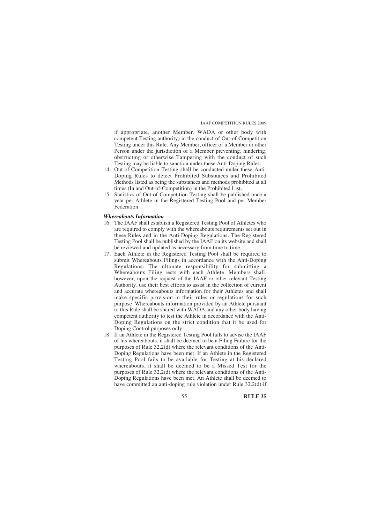if appropriate, another Member, WADA or other body with competent Testing authority) in the conduct of Out-of-Competition Testing under this Rule. Any Member, officer of a Member or other Person under the jurisdiction of a Member preventing, hindering, obstructing or otherwise Tampering with the conduct of such Testing may be liable to sanction under these Anti-Doping Rules.

- 14. Out-of-Competition Testing shall be conducted under these Anti-Doping Rules to detect Prohibited Substances and Prohibited Methods listed as being the substances and methods prohibited at all times (In and Out-of-Competition) in the Prohibited List.
- 15. Statistics of Out-of-Competition Testing shall be published once a year per Athlete in the Registered Testing Pool and per Member Federation.

#### *Whereabouts Information*

- 16. The IAAF shall establish a Registered Testing Pool of Athletes who are required to comply with the whereabouts requirements set out in these Rules and in the Anti-Doping Regulations. The Registered Testing Pool shall be published by the IAAF on its website and shall be reviewed and updated as necessary from time to time.
- 17. Each Athlete in the Registered Testing Pool shall be required to submit Whereabouts Filings in accordance with the Anti-Doping Regulations. The ultimate responsibility for submitting a Whereabouts Filing rests with each Athlete. Members shall, however, upon the request of the IAAF or other relevant Testing Authority, use their best efforts to assist in the collection of current and accurate whereabouts information for their Athletes and shall make specific provision in their rules or regulations for such purpose. Whereabouts information provided by an Athlete pursuant to this Rule shall be shared with WADA and any other body having competent authority to test the Athlete in accordance with the Anti-Doping Regulations on the strict condition that it be used for Doping Control purposes only.
- 18. If an Athlete in the Registered Testing Pool fails to advise the IAAF of his whereabouts, it shall be deemed to be a Filing Failure for the purposes of Rule 32.2(d) where the relevant conditions of the Anti-Doping Regulations have been met. If an Athlete in the Registered Testing Pool fails to be available for Testing at his declared whereabouts, it shall be deemed to be a Missed Test for the purposes of Rule 32.2(d) where the relevant conditions of the Anti-Doping Regulations have been met. An Athlete shall be deemed to have committed an anti-doping rule violation under Rule 32.2(d) if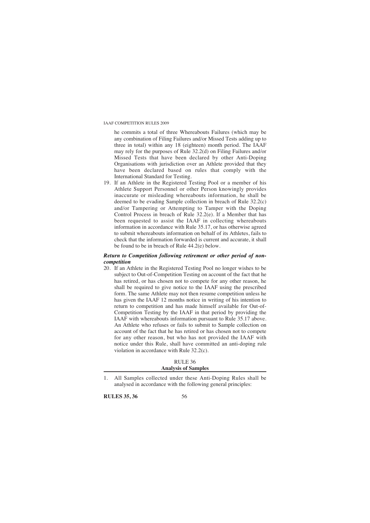he commits a total of three Whereabouts Failures (which may be any combination of Filing Failures and/or Missed Tests adding up to three in total) within any 18 (eighteen) month period. The IAAF may rely for the purposes of Rule 32.2(d) on Filing Failures and/or Missed Tests that have been declared by other Anti-Doping Organisations with jurisdiction over an Athlete provided that they have been declared based on rules that comply with the International Standard for Testing.

19. If an Athlete in the Registered Testing Pool or a member of his Athlete Support Personnel or other Person knowingly provides inaccurate or misleading whereabouts information, he shall be deemed to be evading Sample collection in breach of Rule 32.2(c) and/or Tampering or Attempting to Tamper with the Doping Control Process in breach of Rule 32.2(e). If a Member that has been requested to assist the IAAF in collecting whereabouts information in accordance with Rule 35.17, or has otherwise agreed to submit whereabouts information on behalf of its Athletes, fails to check that the information forwarded is current and accurate, it shall be found to be in breach of Rule 44.2(e) below.

# *Return to Competition following retirement or other period of noncompetition*

20. If an Athlete in the Registered Testing Pool no longer wishes to be subject to Out-of-Competition Testing on account of the fact that he has retired, or has chosen not to compete for any other reason, he shall be required to give notice to the IAAF using the prescribed form. The same Athlete may not then resume competition unless he has given the IAAF 12 months notice in writing of his intention to return to competition and has made himself available for Out-of-Competition Testing by the IAAF in that period by providing the IAAF with whereabouts information pursuant to Rule 35.17 above. An Athlete who refuses or fails to submit to Sample collection on account of the fact that he has retired or has chosen not to compete for any other reason, but who has not provided the IAAF with notice under this Rule, shall have committed an anti-doping rule violation in accordance with Rule 32.2(c).

# RULE 36

# **Analysis of Samples**

**RULES 35, 36** 56

<sup>1.</sup> All Samples collected under these Anti-Doping Rules shall be analysed in accordance with the following general principles: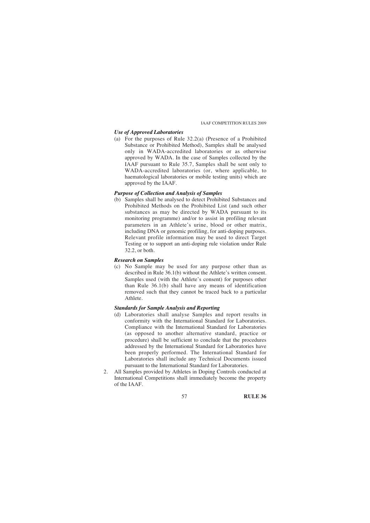# *Use of Approved Laboratories*

(a) For the purposes of Rule 32.2(a) (Presence of a Prohibited Substance or Prohibited Method), Samples shall be analysed only in WADA-accredited laboratories or as otherwise approved by WADA. In the case of Samples collected by the IAAF pursuant to Rule 35.7, Samples shall be sent only to WADA-accredited laboratories (or, where applicable, to haematological laboratories or mobile testing units) which are approved by the IAAF.

#### *Purpose of Collection and Analysis of Samples*

(b) Samples shall be analysed to detect Prohibited Substances and Prohibited Methods on the Prohibited List (and such other substances as may be directed by WADA pursuant to its monitoring programme) and/or to assist in profiling relevant parameters in an Athlete's urine, blood or other matrix, including DNA or genomic profiling, for anti-doping purposes. Relevant profile information may be used to direct Target Testing or to support an anti-doping rule violation under Rule 32.2, or both.

#### *Research on Samples*

(c) No Sample may be used for any purpose other than as described in Rule 36.1(b) without the Athlete's written consent. Samples used (with the Athlete's consent) for purposes other than Rule 36.1(b) shall have any means of identification removed such that they cannot be traced back to a particular Athlete.

# *Standards for Sample Analysis and Reporting*

- (d) Laboratories shall analyse Samples and report results in conformity with the International Standard for Laboratories. Compliance with the International Standard for Laboratories (as opposed to another alternative standard, practice or procedure) shall be sufficient to conclude that the procedures addressed by the International Standard for Laboratories have been properly performed. The International Standard for Laboratories shall include any Technical Documents issued pursuant to the International Standard for Laboratories.
- 2. All Samples provided by Athletes in Doping Controls conducted at International Competitions shall immediately become the property of the IAAF.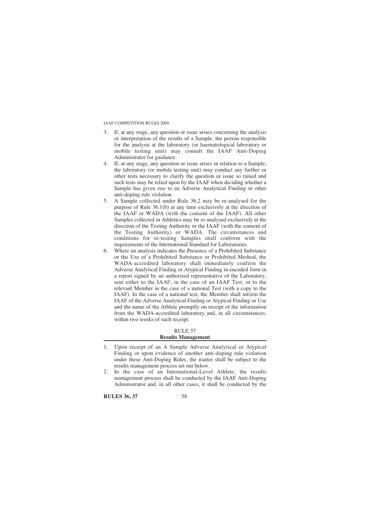- 3. If, at any stage, any question or issue arises concerning the analysis or interpretation of the results of a Sample, the person responsible for the analysis at the laboratory (or haematological laboratory or mobile testing unit) may consult the IAAF Anti-Doping Administrator for guidance.
- 4. If, at any stage, any question or issue arises in relation to a Sample, the laboratory (or mobile testing unit) may conduct any further or other tests necessary to clarify the question or issue so raised and such tests may be relied upon by the IAAF when deciding whether a Sample has given rise to an Adverse Analytical Finding or other anti-doping rule violation.
- 5. A Sample collected under Rule 36.2 may be re-analysed for the purpose of Rule 36.1(b) at any time exclusively at the direction of the IAAF or WADA (with the consent of the IAAF). All other Samples collected in Athletics may be re-analysed exclusively at the direction of the Testing Authority or the IAAF (with the consent of the Testing Authority) or WADA. The circumstances and conditions for re-testing Samples shall conform with the requirements of the International Standard for Laboratories.
- 6. Where an analysis indicates the Presence of a Prohibited Substance or the Use of a Prohibited Substance or Prohibited Method, the WADA-accredited laboratory shall immediately confirm the Adverse Analytical Finding or Atypical Finding in encoded form in a report signed by an authorised representative of the Laboratory, sent either to the IAAF, in the case of an IAAF Test, or to the relevant Member in the case of a national Test (with a copy to the IAAF). In the case of a national test, the Member shall inform the IAAF of the Adverse Analytical Finding or Atypical Finding or Use and the name of the Athlete promptly on receipt of the information from the WADA-accredited laboratory and, in all circumstances, within two weeks of such receipt.

#### RULE 37 **Results Management**

2. In the case of an International-Level Athlete, the results management process shall be conducted by the IAAF Anti-Doping Administrator and, in all other cases, it shall be conducted by the

**RULES 36, 37** 58

<sup>1.</sup> Upon receipt of an A Sample Adverse Analytical or Atypical Finding or upon evidence of another anti-doping rule violation under these Anti-Doping Rules, the matter shall be subject to the results management process set out below.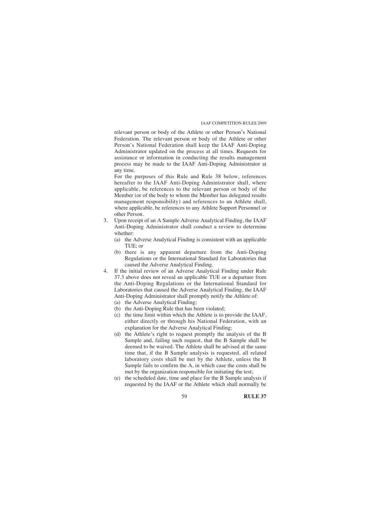relevant person or body of the Athlete or other Person's National Federation. The relevant person or body of the Athlete or other Person's National Federation shall keep the IAAF Anti-Doping Administrator updated on the process at all times. Requests for assistance or information in conducting the results management process may be made to the IAAF Anti-Doping Administrator at any time.

For the purposes of this Rule and Rule 38 below, references hereafter to the IAAF Anti-Doping Administrator shall, where applicable, be references to the relevant person or body of the Member (or of the body to whom the Member has delegated results management responsibility) and references to an Athlete shall, where applicable, be references to any Athlete Support Personnel or other Person.

- 3. Upon receipt of an A Sample Adverse Analytical Finding, the IAAF Anti-Doping Administrator shall conduct a review to determine whether:
	- (a) the Adverse Analytical Finding is consistent with an applicable TUE; or
	- (b) there is any apparent departure from the Anti-Doping Regulations or the International Standard for Laboratories that caused the Adverse Analytical Finding.
- 4. If the initial review of an Adverse Analytical Finding under Rule 37.3 above does not reveal an applicable TUE or a departure from the Anti-Doping Regulations or the International Standard for Laboratories that caused the Adverse Analytical Finding, the IAAF Anti-Doping Administrator shall promptly notify the Athlete of:
	- (a) the Adverse Analytical Finding;
	- (b) the Anti-Doping Rule that has been violated;
	- (c) the time limit within which the Athlete is to provide the IAAF, either directly or through his National Federation, with an explanation for the Adverse Analytical Finding;
	- (d) the Athlete's right to request promptly the analysis of the B Sample and, failing such request, that the B Sample shall be deemed to be waived. The Athlete shall be advised at the same time that, if the B Sample analysis is requested, all related laboratory costs shall be met by the Athlete, unless the B Sample fails to confirm the A, in which case the costs shall be met by the organization responsible for initiating the test;
	- (e) the scheduled date, time and place for the B Sample analysis if requested by the IAAF or the Athlete which shall normally be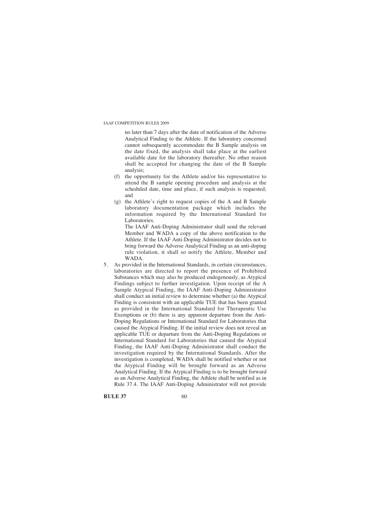no later than 7 days after the date of notification of the Adverse Analytical Finding to the Athlete. If the laboratory concerned cannot subsequently accommodate the B Sample analysis on the date fixed, the analysis shall take place at the earliest available date for the laboratory thereafter. No other reason shall be accepted for changing the date of the B Sample analysis;

- (f) the opportunity for the Athlete and/or his representative to attend the B sample opening procedure and analysis at the scheduled date, time and place, if such analysis is requested; and
- (g) the Athlete's right to request copies of the A and B Sample laboratory documentation package which includes the information required by the International Standard for Laboratories.

The IAAF Anti-Doping Administrator shall send the relevant Member and WADA a copy of the above notification to the Athlete. If the IAAF Anti-Doping Administrator decides not to bring forward the Adverse Analytical Finding as an anti-doping rule violation, it shall so notify the Athlete, Member and WADA.

5. As provided in the International Standards, in certain circumstances, laboratories are directed to report the presence of Prohibited Substances which may also be produced endogenously, as Atypical Findings subject to further investigation. Upon receipt of the A Sample Atypical Finding, the IAAF Anti-Doping Administrator shall conduct an initial review to determine whether (a) the Atypical Finding is consistent with an applicable TUE that has been granted as provided in the International Standard for Therapeutic Use Exemptions or (b) there is any apparent departure from the Anti-Doping Regulations or International Standard for Laboratories that caused the Atypical Finding. If the initial review does not reveal an applicable TUE or departure from the Anti-Doping Regulations or International Standard for Laboratories that caused the Atypical Finding, the IAAF Anti-Doping Administrator shall conduct the investigation required by the International Standards. After the investigation is completed, WADA shall be notified whether or not the Atypical Finding will be brought forward as an Adverse Analytical Finding. If the Atypical Finding is to be brought forward as an Adverse Analytical Finding, the Athlete shall be notified as in Rule 37.4. The IAAF Anti-Doping Administrator will not provide

**RULE 37** 60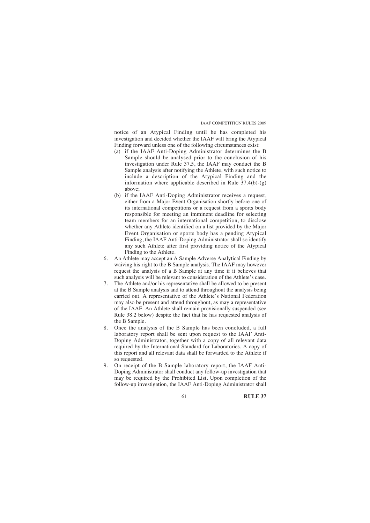notice of an Atypical Finding until he has completed his investigation and decided whether the IAAF will bring the Atypical Finding forward unless one of the following circumstances exist:

- (a) if the IAAF Anti-Doping Administrator determines the B Sample should be analysed prior to the conclusion of his investigation under Rule 37.5, the IAAF may conduct the B Sample analysis after notifying the Athlete, with such notice to include a description of the Atypical Finding and the information where applicable described in Rule  $37.4(b)-(g)$ above;
- (b) if the IAAF Anti-Doping Administrator receives a request, either from a Major Event Organisation shortly before one of its international competitions or a request from a sports body responsible for meeting an imminent deadline for selecting team members for an international competition, to disclose whether any Athlete identified on a list provided by the Major Event Organisation or sports body has a pending Atypical Finding, the IAAF Anti-Doping Administrator shall so identify any such Athlete after first providing notice of the Atypical Finding to the Athlete.
- 6. An Athlete may accept an A Sample Adverse Analytical Finding by waiving his right to the B Sample analysis. The IAAF may however request the analysis of a B Sample at any time if it believes that such analysis will be relevant to consideration of the Athlete's case.
- 7. The Athlete and/or his representative shall be allowed to be present at the B Sample analysis and to attend throughout the analysis being carried out. A representative of the Athlete's National Federation may also be present and attend throughout, as may a representative of the IAAF. An Athlete shall remain provisionally suspended (see Rule 38.2 below) despite the fact that he has requested analysis of the B Sample.
- 8. Once the analysis of the B Sample has been concluded, a full laboratory report shall be sent upon request to the IAAF Anti-Doping Administrator, together with a copy of all relevant data required by the International Standard for Laboratories. A copy of this report and all relevant data shall be forwarded to the Athlete if so requested.
- 9. On receipt of the B Sample laboratory report, the IAAF Anti-Doping Administrator shall conduct any follow-up investigation that may be required by the Prohibited List. Upon completion of the follow-up investigation, the IAAF Anti-Doping Administrator shall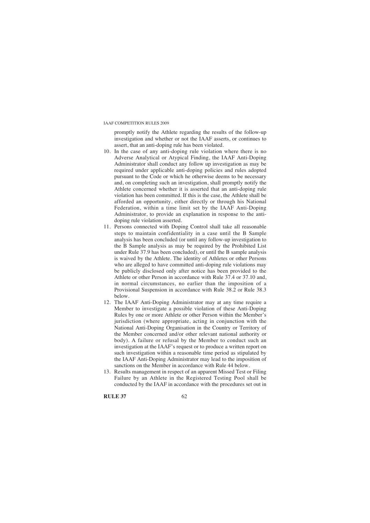promptly notify the Athlete regarding the results of the follow-up investigation and whether or not the IAAF asserts, or continues to assert, that an anti-doping rule has been violated.

- 10. In the case of any anti-doping rule violation where there is no Adverse Analytical or Atypical Finding, the IAAF Anti-Doping Administrator shall conduct any follow up investigation as may be required under applicable anti-doping policies and rules adopted pursuant to the Code or which he otherwise deems to be necessary and, on completing such an investigation, shall promptly notify the Athlete concerned whether it is asserted that an anti-doping rule violation has been committed. If this is the case, the Athlete shall be afforded an opportunity, either directly or through his National Federation, within a time limit set by the IAAF Anti-Doping Administrator, to provide an explanation in response to the antidoping rule violation asserted.
- 11. Persons connected with Doping Control shall take all reasonable steps to maintain confidentiality in a case until the B Sample analysis has been concluded (or until any follow-up investigation to the B Sample analysis as may be required by the Prohibited List under Rule 37.9 has been concluded), or until the B sample analysis is waived by the Athlete. The identity of Athletes or other Persons who are alleged to have committed anti-doping rule violations may be publicly disclosed only after notice has been provided to the Athlete or other Person in accordance with Rule 37.4 or 37.10 and, in normal circumstances, no earlier than the imposition of a Provisional Suspension in accordance with Rule 38.2 or Rule 38.3 below.
- 12. The IAAF Anti-Doping Administrator may at any time require a Member to investigate a possible violation of these Anti-Doping Rules by one or more Athlete or other Person within the Member's jurisdiction (where appropriate, acting in conjunction with the National Anti-Doping Organisation in the Country or Territory of the Member concerned and/or other relevant national authority or body). A failure or refusal by the Member to conduct such an investigation at the IAAF's request or to produce a written report on such investigation within a reasonable time period as stipulated by the IAAF Anti-Doping Administrator may lead to the imposition of sanctions on the Member in accordance with Rule 44 below.
- 13. Results management in respect of an apparent Missed Test or Filing Failure by an Athlete in the Registered Testing Pool shall be conducted by the IAAF in accordance with the procedures set out in

**RULE 37** 62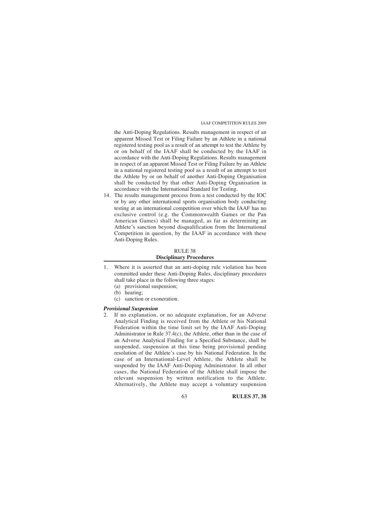the Anti-Doping Regulations. Results management in respect of an apparent Missed Test or Filing Failure by an Athlete in a national registered testing pool as a result of an attempt to test the Athlete by or on behalf of the IAAF shall be conducted by the IAAF in accordance with the Anti-Doping Regulations. Results management in respect of an apparent Missed Test or Filing Failure by an Athlete in a national registered testing pool as a result of an attempt to test the Athlete by or on behalf of another Anti-Doping Organisation shall be conducted by that other Anti-Doping Organisation in accordance with the International Standard for Testing.

14. The results management process from a test conducted by the IOC or by any other international sports organisation body conducting testing at an international competition over which the IAAF has no exclusive control (e.g. the Commonwealth Games or the Pan American Games) shall be managed, as far as determining an Athlete's sanction beyond disqualification from the International Competition in question, by the IAAF in accordance with these Anti-Doping Rules.

# RULE 38 **Disciplinary Procedures**

- 1. Where it is asserted that an anti-doping rule violation has been committed under these Anti-Doping Rules, disciplinary procedures shall take place in the following three stages:
	- (a) provisional suspension;
	- (b) hearing;
	- (c) sanction or exoneration.

# *Provisional Suspension*

2. If no explanation, or no adequate explanation, for an Adverse Analytical Finding is received from the Athlete or his National Federation within the time limit set by the IAAF Anti-Doping Administrator in Rule 37.4(c), the Athlete, other than in the case of an Adverse Analytical Finding for a Specified Substance, shall be suspended, suspension at this time being provisional pending resolution of the Athlete's case by his National Federation. In the case of an International-Level Athlete, the Athlete shall be suspended by the IAAF Anti-Doping Administrator. In all other cases, the National Federation of the Athlete shall impose the relevant suspension by written notification to the Athlete. Alternatively, the Athlete may accept a voluntary suspension

63 **RULES 37, 38**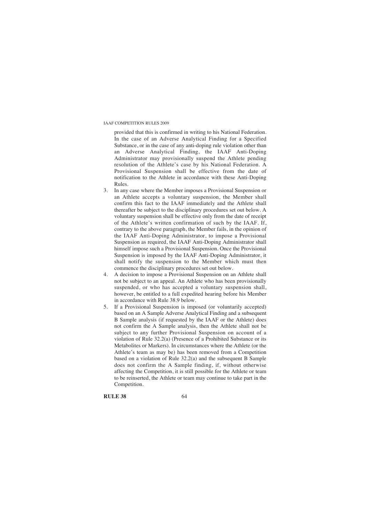provided that this is confirmed in writing to his National Federation. In the case of an Adverse Analytical Finding for a Specified Substance, or in the case of any anti-doping rule violation other than an Adverse Analytical Finding, the IAAF Anti-Doping Administrator may provisionally suspend the Athlete pending resolution of the Athlete's case by his National Federation. A Provisional Suspension shall be effective from the date of notification to the Athlete in accordance with these Anti-Doping Rules.

- 3. In any case where the Member imposes a Provisional Suspension or an Athlete accepts a voluntary suspension, the Member shall confirm this fact to the IAAF immediately and the Athlete shall thereafter be subject to the disciplinary procedures set out below. A voluntary suspension shall be effective only from the date of receipt of the Athlete's written confirmation of such by the IAAF. If, contrary to the above paragraph, the Member fails, in the opinion of the IAAF Anti-Doping Administrator, to impose a Provisional Suspension as required, the IAAF Anti-Doping Administrator shall himself impose such a Provisional Suspension. Once the Provisional Suspension is imposed by the IAAF Anti-Doping Administrator, it shall notify the suspension to the Member which must then commence the disciplinary procedures set out below.
- 4. A decision to impose a Provisional Suspension on an Athlete shall not be subject to an appeal. An Athlete who has been provisionally suspended, or who has accepted a voluntary suspension shall, however, be entitled to a full expedited hearing before his Member in accordance with Rule 38.9 below.
- 5. If a Provisional Suspension is imposed (or voluntarily accepted) based on an A Sample Adverse Analytical Finding and a subsequent B Sample analysis (if requested by the IAAF or the Athlete) does not confirm the A Sample analysis, then the Athlete shall not be subject to any further Provisional Suspension on account of a violation of Rule 32.2(a) (Presence of a Prohibited Substance or its Metabolites or Markers). In circumstances where the Athlete (or the Athlete's team as may be) has been removed from a Competition based on a violation of Rule 32.2(a) and the subsequent B Sample does not confirm the A Sample finding, if, without otherwise affecting the Competition, it is still possible for the Athlete or team to be reinserted, the Athlete or team may continue to take part in the Competition.

**RULE 38** 64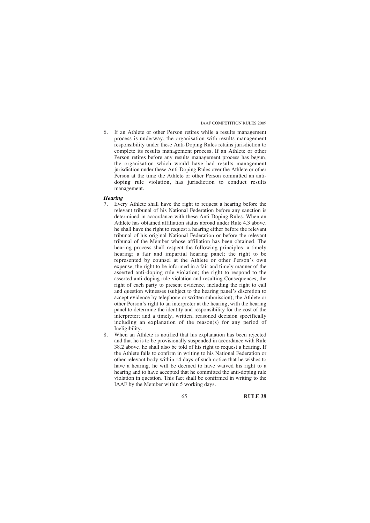6. If an Athlete or other Person retires while a results management process is underway, the organisation with results management responsibility under these Anti-Doping Rules retains jurisdiction to complete its results management process. If an Athlete or other Person retires before any results management process has begun, the organisation which would have had results management jurisdiction under these Anti-Doping Rules over the Athlete or other Person at the time the Athlete or other Person committed an antidoping rule violation, has jurisdiction to conduct results management.

#### *Hearing*

- 7. Every Athlete shall have the right to request a hearing before the relevant tribunal of his National Federation before any sanction is determined in accordance with these Anti-Doping Rules. When an Athlete has obtained affiliation status abroad under Rule 4.3 above, he shall have the right to request a hearing either before the relevant tribunal of his original National Federation or before the relevant tribunal of the Member whose affiliation has been obtained. The hearing process shall respect the following principles: a timely hearing; a fair and impartial hearing panel; the right to be represented by counsel at the Athlete or other Person's own expense; the right to be informed in a fair and timely manner of the asserted anti-doping rule violation; the right to respond to the asserted anti-doping rule violation and resulting Consequences; the right of each party to present evidence, including the right to call and question witnesses (subject to the hearing panel's discretion to accept evidence by telephone or written submission); the Athlete or other Person's right to an interpreter at the hearing, with the hearing panel to determine the identity and responsibility for the cost of the interpreter; and a timely, written, reasoned decision specifically including an explanation of the reason(s) for any period of Ineligibility.
- 8. When an Athlete is notified that his explanation has been rejected and that he is to be provisionally suspended in accordance with Rule 38.2 above, he shall also be told of his right to request a hearing. If the Athlete fails to confirm in writing to his National Federation or other relevant body within 14 days of such notice that he wishes to have a hearing, he will be deemed to have waived his right to a hearing and to have accepted that he committed the anti-doping rule violation in question. This fact shall be confirmed in writing to the IAAF by the Member within 5 working days.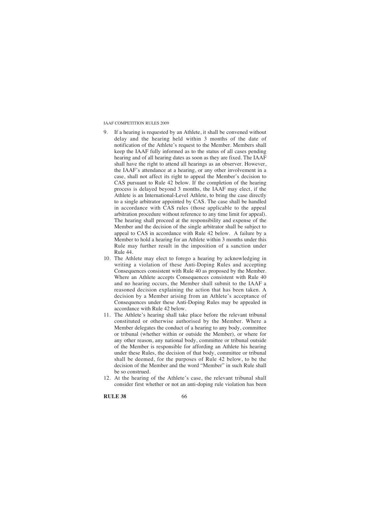- If a hearing is requested by an Athlete, it shall be convened without delay and the hearing held within 3 months of the date of notification of the Athlete's request to the Member. Members shall keep the IAAF fully informed as to the status of all cases pending hearing and of all hearing dates as soon as they are fixed. The IAAF shall have the right to attend all hearings as an observer. However, the IAAF's attendance at a hearing, or any other involvement in a case, shall not affect its right to appeal the Member's decision to CAS pursuant to Rule 42 below. If the completion of the hearing process is delayed beyond 3 months, the IAAF may elect, if the Athlete is an International-Level Athlete, to bring the case directly to a single arbitrator appointed by CAS. The case shall be handled in accordance with CAS rules (those applicable to the appeal arbitration procedure without reference to any time limit for appeal). The hearing shall proceed at the responsibility and expense of the Member and the decision of the single arbitrator shall be subject to appeal to CAS in accordance with Rule 42 below. A failure by a Member to hold a hearing for an Athlete within 3 months under this Rule may further result in the imposition of a sanction under Rule 44.
- 10. The Athlete may elect to forego a hearing by acknowledging in writing a violation of these Anti-Doping Rules and accepting Consequences consistent with Rule 40 as proposed by the Member. Where an Athlete accepts Consequences consistent with Rule 40 and no hearing occurs, the Member shall submit to the IAAF a reasoned decision explaining the action that has been taken. A decision by a Member arising from an Athlete's acceptance of Consequences under these Anti-Doping Rules may be appealed in accordance with Rule 42 below.
- 11. The Athlete's hearing shall take place before the relevant tribunal constituted or otherwise authorised by the Member. Where a Member delegates the conduct of a hearing to any body, committee or tribunal (whether within or outside the Member), or where for any other reason, any national body, committee or tribunal outside of the Member is responsible for affording an Athlete his hearing under these Rules, the decision of that body, committee or tribunal shall be deemed, for the purposes of Rule 42 below, to be the decision of the Member and the word "Member" in such Rule shall be so construed.
- 12. At the hearing of the Athlete's case, the relevant tribunal shall consider first whether or not an anti-doping rule violation has been

**RULE 38** 66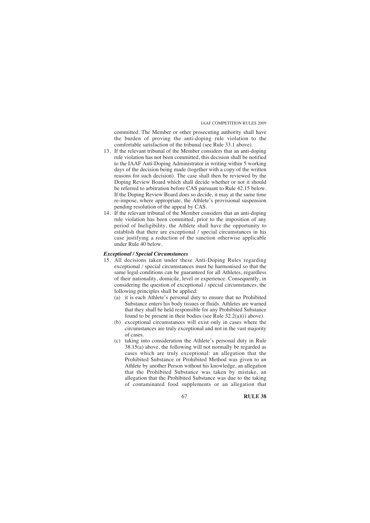committed. The Member or other prosecuting authority shall have the burden of proving the anti-doping rule violation to the comfortable satisfaction of the tribunal (see Rule 33.1 above).

- 13. If the relevant tribunal of the Member considers that an anti-doping rule violation has not been committed, this decision shall be notified to the IAAF Anti-Doping Administrator in writing within 5 working days of the decision being made (together with a copy of the written reasons for such decision). The case shall then be reviewed by the Doping Review Board which shall decide whether or not it should be referred to arbitration before CAS pursuant to Rule 42.15 below. If the Doping Review Board does so decide, it may at the same time re-impose, where appropriate, the Athlete's provisional suspension pending resolution of the appeal by CAS.
- 14. If the relevant tribunal of the Member considers that an anti-doping rule violation has been committed, prior to the imposition of any period of Ineligibility, the Athlete shall have the opportunity to establish that there are exceptional / special circumstances in his case justifying a reduction of the sanction otherwise applicable under Rule 40 below.

# *Exceptional / Special Circumstances*

- 15. All decisions taken under these Anti-Doping Rules regarding exceptional / special circumstances must be harmonised so that the same legal conditions can be guaranteed for all Athletes, regardless of their nationality, domicile, level or experience. Consequently, in considering the question of exceptional / special circumstances, the following principles shall be applied:
	- (a) it is each Athlete's personal duty to ensure that no Prohibited Substance enters his body tissues or fluids. Athletes are warned that they shall be held responsible for any Prohibited Substance found to be present in their bodies (see Rule 32.2(a)(i) above).
	- (b) exceptional circumstances will exist only in cases where the circumstances are truly exceptional and not in the vast majority of cases.
	- (c) taking into consideration the Athlete's personal duty in Rule  $38.15(a)$  above, the following will not normally be regarded as cases which are truly exceptional: an allegation that the Prohibited Substance or Prohibited Method was given to an Athlete by another Person without his knowledge, an allegation that the Prohibited Substance was taken by mistake, an allegation that the Prohibited Substance was due to the taking of contaminated food supplements or an allegation that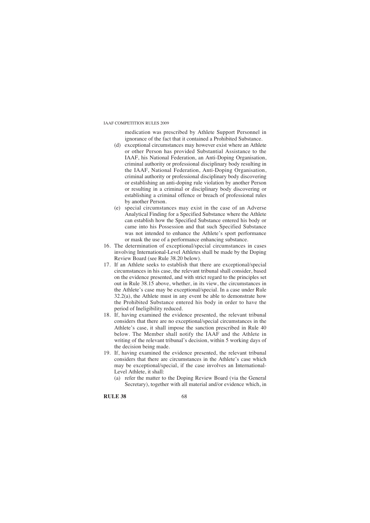medication was prescribed by Athlete Support Personnel in ignorance of the fact that it contained a Prohibited Substance.

- (d) exceptional circumstances may however exist where an Athlete or other Person has provided Substantial Assistance to the IAAF, his National Federation, an Anti-Doping Organisation, criminal authority or professional disciplinary body resulting in the IAAF, National Federation, Anti-Doping Organisation, criminal authority or professional disciplinary body discovering or establishing an anti-doping rule violation by another Person or resulting in a criminal or disciplinary body discovering or establishing a criminal offence or breach of professional rules by another Person.
- (e) special circumstances may exist in the case of an Adverse Analytical Finding for a Specified Substance where the Athlete can establish how the Specified Substance entered his body or came into his Possession and that such Specified Substance was not intended to enhance the Athlete's sport performance or mask the use of a performance enhancing substance.
- 16. The determination of exceptional/special circumstances in cases involving International-Level Athletes shall be made by the Doping Review Board (see Rule 38.20 below).
- 17. If an Athlete seeks to establish that there are exceptional/special circumstances in his case, the relevant tribunal shall consider, based on the evidence presented, and with strict regard to the principles set out in Rule 38.15 above, whether, in its view, the circumstances in the Athlete's case may be exceptional/special. In a case under Rule  $32.2(a)$ , the Athlete must in any event be able to demonstrate how the Prohibited Substance entered his body in order to have the period of Ineligibility reduced.
- 18. If, having examined the evidence presented, the relevant tribunal considers that there are no exceptional/special circumstances in the Athlete's case, it shall impose the sanction prescribed in Rule 40 below. The Member shall notify the IAAF and the Athlete in writing of the relevant tribunal's decision, within 5 working days of the decision being made.
- 19. If, having examined the evidence presented, the relevant tribunal considers that there are circumstances in the Athlete's case which may be exceptional/special, if the case involves an International-Level Athlete, it shall:
	- (a) refer the matter to the Doping Review Board (via the General Secretary), together with all material and/or evidence which, in

**RULE 38** 68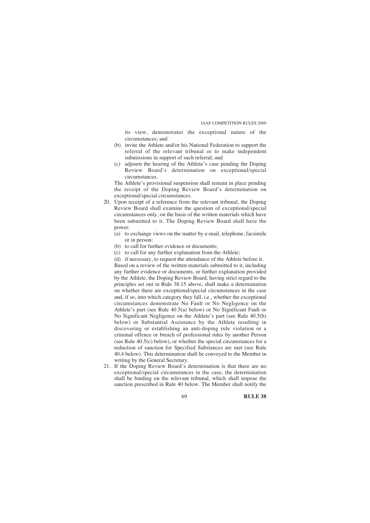its view, demonstrates the exceptional nature of the circumstances; and

- (b) invite the Athlete and/or his National Federation to support the referral of the relevant tribunal or to make independent submissions in support of such referral; and
- (c) adjourn the hearing of the Athlete's case pending the Doping Review Board's determination on exceptional/special circumstances.

The Athlete's provisional suspension shall remain in place pending the receipt of the Doping Review Board's determination on exceptional/special circumstances.

- 20. Upon receipt of a reference from the relevant tribunal, the Doping Review Board shall examine the question of exceptional/special circumstances only, on the basis of the written materials which have been submitted to it. The Doping Review Board shall have the power:
	- (a) to exchange views on the matter by e-mail, telephone, facsimile or in person;
	- (b) to call for further evidence or documents;
	- (c) to call for any further explanation from the Athlete;
	- (d) if necessary, to request the attendance of the Athlete before it.

Based on a review of the written materials submitted to it, including any further evidence or documents, or further explanation provided by the Athlete, the Doping Review Board, having strict regard to the principles set out in Rule 38.15 above, shall make a determination on whether there are exceptional/special circumstances in the case and, if so, into which category they fall, i.e., whether the exceptional circumstances demonstrate No Fault or No Negligence on the Athlete's part (see Rule 40.5(a) below) or No Significant Fault or No Significant Negligence on the Athlete's part (see Rule 40.5(b) below) or Substantial Assistance by the Athlete resulting in discovering or establishing an anti-doping rule violation or a criminal offence or breach of professional rules by another Person (see Rule 40.5(c) below), or whether the special circumstances for a reduction of sanction for Specified Substances are met (see Rule 40.4 below). This determination shall be conveyed to the Member in writing by the General Secretary.

21. If the Doping Review Board's determination is that there are no exceptional/special circumstances in the case, the determination shall be binding on the relevant tribunal, which shall impose the sanction prescribed in Rule 40 below. The Member shall notify the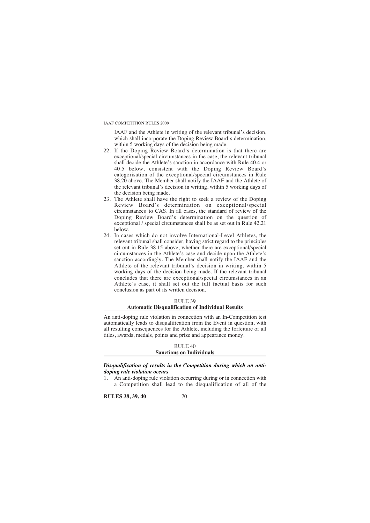IAAF and the Athlete in writing of the relevant tribunal's decision, which shall incorporate the Doping Review Board's determination, within 5 working days of the decision being made.

- 22. If the Doping Review Board's determination is that there are exceptional/special circumstances in the case, the relevant tribunal shall decide the Athlete's sanction in accordance with Rule 40.4 or 40.5 below, consistent with the Doping Review Board's categorisation of the exceptional/special circumstances in Rule 38.20 above. The Member shall notify the IAAF and the Athlete of the relevant tribunal's decision in writing, within 5 working days of the decision being made.
- 23. The Athlete shall have the right to seek a review of the Doping Review Board's determination on exceptional/special circumstances to CAS. In all cases, the standard of review of the Doping Review Board's determination on the question of exceptional / special circumstances shall be as set out in Rule 42.21 below.
- 24. In cases which do not involve International-Level Athletes, the relevant tribunal shall consider, having strict regard to the principles set out in Rule 38.15 above, whether there are exceptional/special circumstances in the Athlete's case and decide upon the Athlete's sanction accordingly. The Member shall notify the IAAF and the Athlete of the relevant tribunal's decision in writing, within 5 working days of the decision being made. If the relevant tribunal concludes that there are exceptional/special circumstances in an Athlete's case, it shall set out the full factual basis for such conclusion as part of its written decision.

#### RULE 39

#### **Automatic Disqualification of Individual Results**

An anti-doping rule violation in connection with an In-Competition test automatically leads to disqualification from the Event in question, with all resulting consequences for the Athlete, including the forfeiture of all titles, awards, medals, points and prize and appearance money.

#### RULE 40 **Sanctions on Individuals**

*Disqualification of results in the Competition during which an antidoping rule violation occurs*

1. An anti-doping rule violation occurring during or in connection with a Competition shall lead to the disqualification of all of the

**RULES 38, 39, 40** 70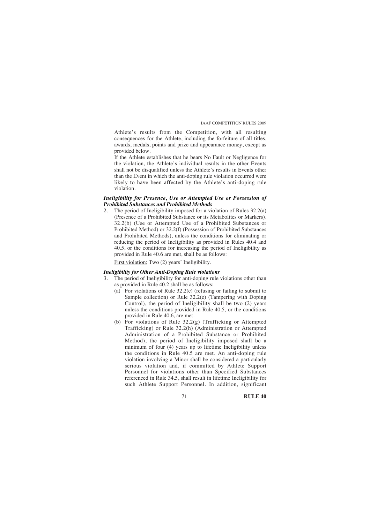Athlete's results from the Competition, with all resulting consequences for the Athlete, including the forfeiture of all titles, awards, medals, points and prize and appearance money, except as provided below.

If the Athlete establishes that he bears No Fault or Negligence for the violation, the Athlete's individual results in the other Events shall not be disqualified unless the Athlete's results in Events other than the Event in which the anti-doping rule violation occurred were likely to have been affected by the Athlete's anti-doping rule violation.

#### *Ineligibility for Presence, Use or Attempted Use or Possession of Prohibited Substances and Prohibited Methods*

2. The period of Ineligibility imposed for a violation of Rules 32.2(a) (Presence of a Prohibited Substance or its Metabolites or Markers), 32.2(b) (Use or Attempted Use of a Prohibited Substances or Prohibited Method) or 32.2(f) (Possession of Prohibited Substances and Prohibited Methods), unless the conditions for eliminating or reducing the period of Ineligibility as provided in Rules 40.4 and 40.5, or the conditions for increasing the period of Ineligibility as provided in Rule 40.6 are met, shall be as follows:

First violation: Two (2) years' Ineligibility.

# *Ineligibility for Other Anti-Doping Rule violations*

- The period of Ineligibility for anti-doping rule violations other than as provided in Rule 40.2 shall be as follows:
	- (a) For violations of Rule 32.2(c) (refusing or failing to submit to Sample collection) or Rule 32.2(e) (Tampering with Doping Control), the period of Ineligibility shall be two (2) years unless the conditions provided in Rule 40.5, or the conditions provided in Rule 40.6, are met.
	- (b) For violations of Rule 32.2(g) (Trafficking or Attempted Trafficking) or Rule 32.2(h) (Administration or Attempted Administration of a Prohibited Substance or Prohibited Method), the period of Ineligibility imposed shall be a minimum of four (4) years up to lifetime Ineligibility unless the conditions in Rule 40.5 are met. An anti-doping rule violation involving a Minor shall be considered a particularly serious violation and, if committed by Athlete Support Personnel for violations other than Specified Substances referenced in Rule 34.5, shall result in lifetime Ineligibility for such Athlete Support Personnel. In addition, significant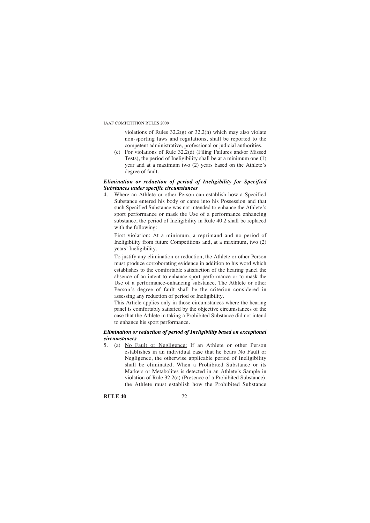violations of Rules 32.2(g) or 32.2(h) which may also violate non-sporting laws and regulations, shall be reported to the competent administrative, professional or judicial authorities.

(c) For violations of Rule 32.2(d) (Filing Failures and/or Missed Tests), the period of Ineligibility shall be at a minimum one (1) year and at a maximum two (2) years based on the Athlete's degree of fault.

# *Elimination or reduction of period of Ineligibility for Specified Substances under specific circumstances*

4. Where an Athlete or other Person can establish how a Specified Substance entered his body or came into his Possession and that such Specified Substance was not intended to enhance the Athlete's sport performance or mask the Use of a performance enhancing substance, the period of Ineligibility in Rule 40.2 shall be replaced with the following:

First violation: At a minimum, a reprimand and no period of Ineligibility from future Competitions and, at a maximum, two (2) years' Ineligibility.

To justify any elimination or reduction, the Athlete or other Person must produce corroborating evidence in addition to his word which establishes to the comfortable satisfaction of the hearing panel the absence of an intent to enhance sport performance or to mask the Use of a performance-enhancing substance. The Athlete or other Person's degree of fault shall be the criterion considered in assessing any reduction of period of Ineligibility.

This Article applies only in those circumstances where the hearing panel is comfortably satisfied by the objective circumstances of the case that the Athlete in taking a Prohibited Substance did not intend to enhance his sport performance.

# *Elimination or reduction of period of Ineligibility based on exceptional circumstances*

5. (a) No Fault or Negligence: If an Athlete or other Person establishes in an individual case that he bears No Fault or Negligence, the otherwise applicable period of Ineligibility shall be eliminated. When a Prohibited Substance or its Markers or Metabolites is detected in an Athlete's Sample in violation of Rule 32.2(a) (Presence of a Prohibited Substance), the Athlete must establish how the Prohibited Substance

# **RULE 40** 72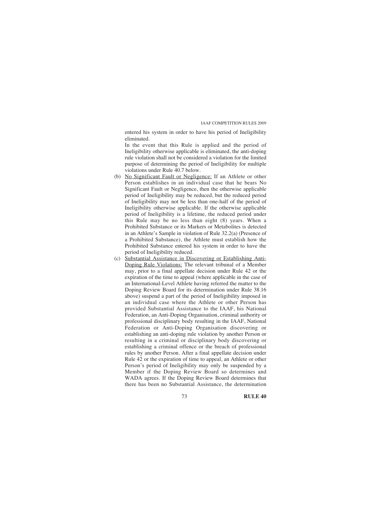entered his system in order to have his period of Ineligibility eliminated.

In the event that this Rule is applied and the period of Ineligibility otherwise applicable is eliminated, the anti-doping rule violation shall not be considered a violation for the limited purpose of determining the period of Ineligibility for multiple violations under Rule 40.7 below.

- (b) No Significant Fault or Negligence: If an Athlete or other Person establishes in an individual case that he bears No Significant Fault or Negligence, then the otherwise applicable period of Ineligibility may be reduced, but the reduced period of Ineligibility may not be less than one-half of the period of Ineligibility otherwise applicable. If the otherwise applicable period of Ineligibility is a lifetime, the reduced period under this Rule may be no less than eight (8) years. When a Prohibited Substance or its Markers or Metabolites is detected in an Athlete's Sample in violation of Rule 32.2(a) (Presence of a Prohibited Substance), the Athlete must establish how the Prohibited Substance entered his system in order to have the period of Ineligibility reduced.
- (c) Substantial Assistance in Discovering or Establishing Anti-Doping Rule Violations: The relevant tribunal of a Member may, prior to a final appellate decision under Rule 42 or the expiration of the time to appeal (where applicable in the case of an International-Level Athlete having referred the matter to the Doping Review Board for its determination under Rule 38.16 above) suspend a part of the period of Ineligibility imposed in an individual case where the Athlete or other Person has provided Substantial Assistance to the IAAF, his National Federation, an Anti-Doping Organisation, criminal authority or professional disciplinary body resulting in the IAAF, National Federation or Anti-Doping Organisation discovering or establishing an anti-doping rule violation by another Person or resulting in a criminal or disciplinary body discovering or establishing a criminal offence or the breach of professional rules by another Person. After a final appellate decision under Rule 42 or the expiration of time to appeal, an Athlete or other Person's period of Ineligibility may only be suspended by a Member if the Doping Review Board so determines and WADA agrees. If the Doping Review Board determines that there has been no Substantial Assistance, the determination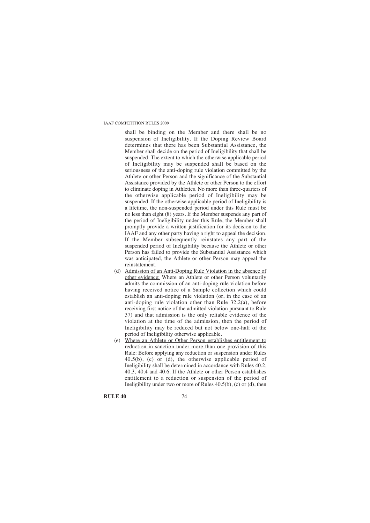shall be binding on the Member and there shall be no suspension of Ineligibility. If the Doping Review Board determines that there has been Substantial Assistance, the Member shall decide on the period of Ineligibility that shall be suspended. The extent to which the otherwise applicable period of Ineligibility may be suspended shall be based on the seriousness of the anti-doping rule violation committed by the Athlete or other Person and the significance of the Substantial Assistance provided by the Athlete or other Person to the effort to eliminate doping in Athletics. No more than three-quarters of the otherwise applicable period of Ineligibility may be suspended. If the otherwise applicable period of Ineligibility is a lifetime, the non-suspended period under this Rule must be no less than eight (8) years. If the Member suspends any part of the period of Ineligibility under this Rule, the Member shall promptly provide a written justification for its decision to the IAAF and any other party having a right to appeal the decision. If the Member subsequently reinstates any part of the suspended period of Ineligibility because the Athlete or other Person has failed to provide the Substantial Assistance which was anticipated, the Athlete or other Person may appeal the reinstatement.

- (d) Admission of an Anti-Doping Rule Violation in the absence of other evidence: Where an Athlete or other Person voluntarily admits the commission of an anti-doping rule violation before having received notice of a Sample collection which could establish an anti-doping rule violation (or, in the case of an anti-doping rule violation other than Rule 32.2(a), before receiving first notice of the admitted violation pursuant to Rule 37) and that admission is the only reliable evidence of the violation at the time of the admission, then the period of Ineligibility may be reduced but not below one-half of the period of Ineligibility otherwise applicable.
- (e) Where an Athlete or Other Person establishes entitlement to reduction in sanction under more than one provision of this Rule: Before applying any reduction or suspension under Rules 40.5(b), (c) or (d), the otherwise applicable period of Ineligibility shall be determined in accordance with Rules 40.2, 40.3, 40.4 and 40.6. If the Athlete or other Person establishes entitlement to a reduction or suspension of the period of Ineligibility under two or more of Rules  $40.5(b)$ , (c) or (d), then

**RULE 40** 74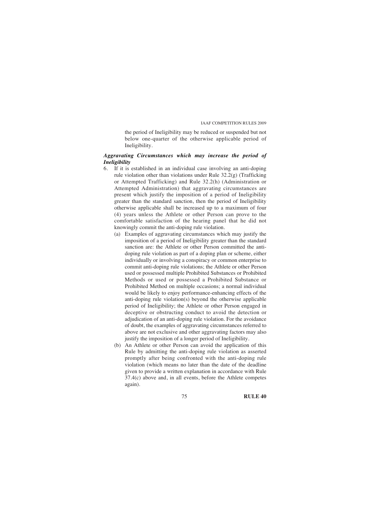the period of Ineligibility may be reduced or suspended but not below one-quarter of the otherwise applicable period of Ineligibility.

# *Aggravating Circumstances which may increase the period of Ineligibility*

- 6. If it is established in an individual case involving an anti-doping rule violation other than violations under Rule  $32.2(g)$  (Trafficking or Attempted Trafficking) and Rule 32.2(h) (Administration or Attempted Administration) that aggravating circumstances are present which justify the imposition of a period of Ineligibility greater than the standard sanction, then the period of Ineligibility otherwise applicable shall be increased up to a maximum of four (4) years unless the Athlete or other Person can prove to the comfortable satisfaction of the hearing panel that he did not knowingly commit the anti-doping rule violation.
	- (a) Examples of aggravating circumstances which may justify the imposition of a period of Ineligibility greater than the standard sanction are: the Athlete or other Person committed the antidoping rule violation as part of a doping plan or scheme, either individually or involving a conspiracy or common enterprise to commit anti-doping rule violations; the Athlete or other Person used or possessed multiple Prohibited Substances or Prohibited Methods or used or possessed a Prohibited Substance or Prohibited Method on multiple occasions; a normal individual would be likely to enjoy performance-enhancing effects of the anti-doping rule violation(s) beyond the otherwise applicable period of Ineligibility; the Athlete or other Person engaged in deceptive or obstructing conduct to avoid the detection or adjudication of an anti-doping rule violation. For the avoidance of doubt, the examples of aggravating circumstances referred to above are not exclusive and other aggravating factors may also justify the imposition of a longer period of Ineligibility.
	- (b) An Athlete or other Person can avoid the application of this Rule by admitting the anti-doping rule violation as asserted promptly after being confronted with the anti-doping rule violation (which means no later than the date of the deadline given to provide a written explanation in accordance with Rule 37.4(c) above and, in all events, before the Athlete competes again).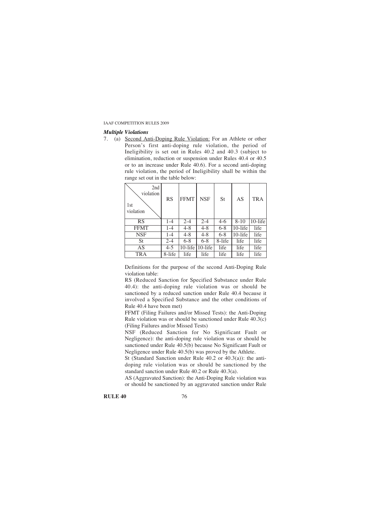#### *Multiple Violations*

7. (a) Second Anti-Doping Rule Violation: For an Athlete or other Person's first anti-doping rule violation, the period of Ineligibility is set out in Rules 40.2 and 40.3 (subject to elimination, reduction or suspension under Rules 40.4 or 40.5 or to an increase under Rule 40.6). For a second anti-doping rule violation, the period of Ineligibility shall be within the range set out in the table below:

| 2nd<br>violation<br>1 <sub>st</sub><br>violation | <b>RS</b> | <b>FFMT</b> | <b>NSF</b> | St      | AS         | <b>TRA</b> |
|--------------------------------------------------|-----------|-------------|------------|---------|------------|------------|
| RS                                               | $1 - 4$   | $2 - 4$     | $2 - 4$    | $4-6$   | $8 - 10$   | 10-life    |
| <b>FFMT</b>                                      | 1-4       | $4 - 8$     | $4 - 8$    | $6 - 8$ | $10$ -life | life       |
| <b>NSF</b>                                       | $1 - 4$   | $4 - 8$     | 4-8        | $6 - 8$ | $10$ -life | life       |
| St                                               | $2 - 4$   | $6 - 8$     | $6 - 8$    | 8-life  | life       | life       |
| AS                                               | $4 - 5$   | $10$ -life  | 10-life    | life    | life       | life       |
| TRA                                              | 8-life    | life        | life       | life    | life       | life       |

Definitions for the purpose of the second Anti-Doping Rule violation table:

RS (Reduced Sanction for Specified Substance under Rule 40.4): the anti-doping rule violation was or should be sanctioned by a reduced sanction under Rule 40.4 because it involved a Specified Substance and the other conditions of Rule 40.4 have been met)

FFMT (Filing Failures and/or Missed Tests): the Anti-Doping Rule violation was or should be sanctioned under Rule 40.3(c) (Filing Failures and/or Missed Tests)

NSF (Reduced Sanction for No Significant Fault or Negligence): the anti-doping rule violation was or should be sanctioned under Rule 40.5(b) because No Significant Fault or Negligence under Rule 40.5(b) was proved by the Athlete.

St (Standard Sanction under Rule 40.2 or 40.3(a)): the antidoping rule violation was or should be sanctioned by the standard sanction under Rule 40.2 or Rule 40.3(a).

AS (Aggravated Sanction): the Anti-Doping Rule violation was or should be sanctioned by an aggravated sanction under Rule

| <b>RULE 40</b> |  |
|----------------|--|
|                |  |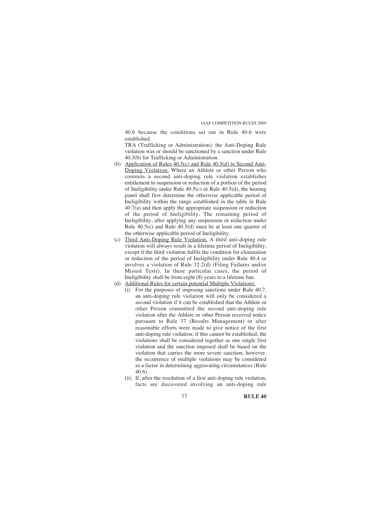40.6 because the conditions set out in Rule 40.6 were established.

TRA (Trafficking or Administration): the Anti-Doping Rule violation was or should be sanctioned by a sanction under Rule 40.3(b) for Trafficking or Administration.

- (b) Application of Rules 40.5(c) and Rule 40.5(d) to Second Anti-Doping Violation: Where an Athlete or other Person who commits a second anti-doping rule violation establishes entitlement to suspension or reduction of a portion of the period of Ineligibility under Rule  $40.5(c)$  or Rule  $40.5(d)$ , the hearing panel shall first determine the otherwise applicable period of Ineligibility within the range established in the table in Rule 40.7(a) and then apply the appropriate suspension or reduction of the period of Ineligibility. The remaining period of Ineligibility, after applying any suspension or reduction under Rule 40.5(c) and Rule 40.5(d) must be at least one quarter of the otherwise applicable period of Ineligibility.
- (c) Third Anti-Doping Rule Violation: A third anti-doping rule violation will always result in a lifetime period of Ineligibility, except if the third violation fulfils the condition for elimination or reduction of the period of Ineligibility under Rule 40.4 or involves a violation of Rule 32.2(d) (Filing Failures and/or Missed Tests). In these particular cases, the period of Ineligibility shall be from eight (8) years to a lifetime ban.
- (d) Additional Rules for certain potential Multiple Violations:
	- (i) For the purposes of imposing sanctions under Rule 40.7, an anti-doping rule violation will only be considered a second violation if it can be established that the Athlete or other Person committed the second anti-doping rule violation after the Athlete or other Person received notice pursuant to Rule 37 (Results Management) or after reasonable efforts were made to give notice of the first anti-doping rule violation; if this cannot be established, the violations shall be considered together as one single first violation and the sanction imposed shall be based on the violation that carries the more severe sanction; however, the occurrence of multiple violations may be considered as a factor in determining aggravating circumstances (Rule 40.6).
	- (ii) If, after the resolution of a first anti-doping rule violation, facts are discovered involving an anti-doping rule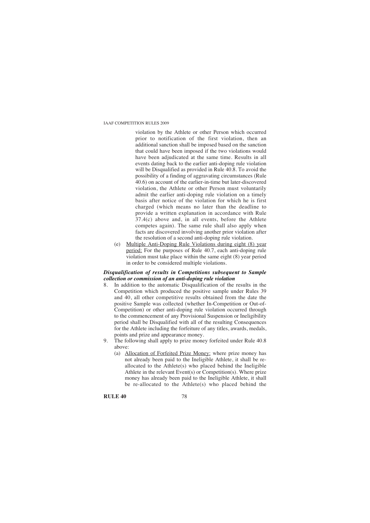violation by the Athlete or other Person which occurred prior to notification of the first violation, then an additional sanction shall be imposed based on the sanction that could have been imposed if the two violations would have been adjudicated at the same time. Results in all events dating back to the earlier anti-doping rule violation will be Disqualified as provided in Rule 40.8. To avoid the possibility of a finding of aggravating circumstances (Rule 40.6) on account of the earlier-in-time but later-discovered violation, the Athlete or other Person must voluntarily admit the earlier anti-doping rule violation on a timely basis after notice of the violation for which he is first charged (which means no later than the deadline to provide a written explanation in accordance with Rule 37.4(c) above and, in all events, before the Athlete competes again). The same rule shall also apply when facts are discovered involving another prior violation after the resolution of a second anti-doping rule violation.

(e) Multiple Anti-Doping Rule Violations during eight (8) year period: For the purposes of Rule 40.7, each anti-doping rule violation must take place within the same eight (8) year period in order to be considered multiple violations.

#### *Disqualification of results in Competitions subsequent to Sample collection or commission of an anti-doping rule violation*

- 8. In addition to the automatic Disqualification of the results in the Competition which produced the positive sample under Rules 39 and 40, all other competitive results obtained from the date the positive Sample was collected (whether In-Competition or Out-of-Competition) or other anti-doping rule violation occurred through to the commencement of any Provisional Suspension or Ineligibility period shall be Disqualified with all of the resulting Consequences for the Athlete including the forfeiture of any titles, awards, medals, points and prize and appearance money.
- 9. The following shall apply to prize money forfeited under Rule 40.8 above:
	- (a) Allocation of Forfeited Prize Money: where prize money has not already been paid to the Ineligible Athlete, it shall be reallocated to the Athlete(s) who placed behind the Ineligible Athlete in the relevant Event(s) or Competition(s). Where prize money has already been paid to the Ineligible Athlete, it shall be re-allocated to the Athlete(s) who placed behind the

**RULE 40** 78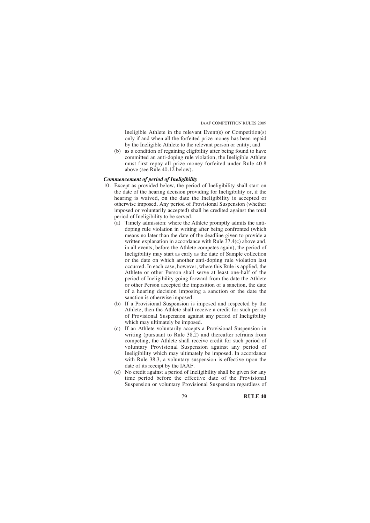Ineligible Athlete in the relevant Event(s) or Competition(s) only if and when all the forfeited prize money has been repaid by the Ineligible Athlete to the relevant person or entity; and

(b) as a condition of regaining eligibility after being found to have committed an anti-doping rule violation, the Ineligible Athlete must first repay all prize money forfeited under Rule 40.8 above (see Rule 40.12 below).

# *Commencement of period of Ineligibility*

- 10. Except as provided below, the period of Ineligibility shall start on the date of the hearing decision providing for Ineligibility or, if the hearing is waived, on the date the Ineligibility is accepted or otherwise imposed. Any period of Provisional Suspension (whether imposed or voluntarily accepted) shall be credited against the total period of Ineligibility to be served.
	- (a) Timely admission: where the Athlete promptly admits the antidoping rule violation in writing after being confronted (which means no later than the date of the deadline given to provide a written explanation in accordance with Rule 37.4(c) above and, in all events, before the Athlete competes again), the period of Ineligibility may start as early as the date of Sample collection or the date on which another anti-doping rule violation last occurred. In each case, however, where this Rule is applied, the Athlete or other Person shall serve at least one-half of the period of Ineligibility going forward from the date the Athlete or other Person accepted the imposition of a sanction, the date of a hearing decision imposing a sanction or the date the sanction is otherwise imposed.
	- (b) If a Provisional Suspension is imposed and respected by the Athlete, then the Athlete shall receive a credit for such period of Provisional Suspension against any period of Ineligibility which may ultimately be imposed.
	- (c) If an Athlete voluntarily accepts a Provisional Suspension in writing (pursuant to Rule 38.2) and thereafter refrains from competing, the Athlete shall receive credit for such period of voluntary Provisional Suspension against any period of Ineligibility which may ultimately be imposed. In accordance with Rule 38.3, a voluntary suspension is effective upon the date of its receipt by the IAAF.
	- (d) No credit against a period of Ineligibility shall be given for any time period before the effective date of the Provisional Suspension or voluntary Provisional Suspension regardless of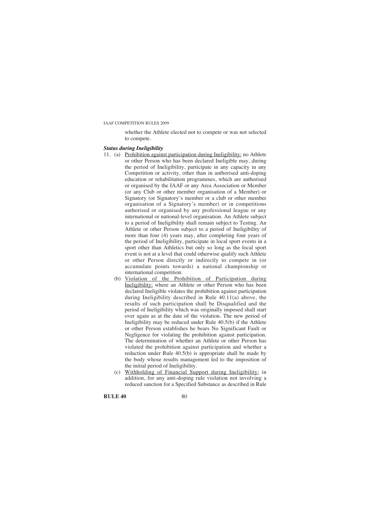whether the Athlete elected not to compete or was not selected to compete.

#### *Status during Ineligibility*

- 11. (a) Prohibition against participation during Ineligibility: no Athlete or other Person who has been declared Ineligible may, during the period of Ineligibility, participate in any capacity in any Competition or activity, other than in authorised anti-doping education or rehabilitation programmes, which are authorised or organised by the IAAF or any Area Association or Member (or any Club or other member organisation of a Member) or Signatory (or Signatory's member or a club or other member organisation of a Signatory's member) or in competitions authorised or organised by any professional league or any international or national-level organisation. An Athlete subject to a period of Ineligibility shall remain subject to Testing. An Athlete or other Person subject to a period of Ineligibility of more than four (4) years may, after completing four years of the period of Ineligibility, participate in local sport events in a sport other than Athletics but only so long as the local sport event is not at a level that could otherwise qualify such Athlete or other Person directly or indirectly to compete in (or accumulate points towards) a national championship or international competition.
	- (b) Violation of the Prohibition of Participation during Ineligibility: where an Athlete or other Person who has been declared Ineligible violates the prohibition against participation during Ineligibility described in Rule 40.11(a) above, the results of such participation shall be Disqualified and the period of Ineligibility which was originally imposed shall start over again as at the date of the violation. The new period of Ineligibility may be reduced under Rule 40.5(b) if the Athlete or other Person establishes he bears No Significant Fault or Negligence for violating the prohibition against participation. The determination of whether an Athlete or other Person has violated the prohibition against participation and whether a reduction under Rule 40.5(b) is appropriate shall be made by the body whose results management led to the imposition of the initial period of Ineligibility.
	- (c) Withholding of Financial Support during Ineligibility: in addition, for any anti-doping rule violation not involving a reduced sanction for a Specified Substance as described in Rule

**RULE 40** 80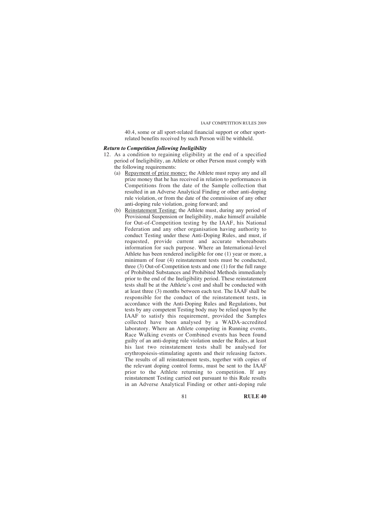40.4, some or all sport-related financial support or other sportrelated benefits received by such Person will be withheld.

# *Return to Competition following Ineligibility*

- 12. As a condition to regaining eligibility at the end of a specified period of Ineligibility, an Athlete or other Person must comply with the following requirements:
	- (a) Repayment of prize money: the Athlete must repay any and all prize money that he has received in relation to performances in Competitions from the date of the Sample collection that resulted in an Adverse Analytical Finding or other anti-doping rule violation, or from the date of the commission of any other anti-doping rule violation, going forward; and
	- (b) Reinstatement Testing: the Athlete must, during any period of Provisional Suspension or Ineligibility, make himself available for Out-of-Competition testing by the IAAF, his National Federation and any other organisation having authority to conduct Testing under these Anti-Doping Rules, and must, if requested, provide current and accurate whereabouts information for such purpose. Where an International-level Athlete has been rendered ineligible for one (1) year or more, a minimum of four (4) reinstatement tests must be conducted, three (3) Out-of-Competition tests and one (1) for the full range of Prohibited Substances and Prohibited Methods immediately prior to the end of the Ineligibility period. These reinstatement tests shall be at the Athlete's cost and shall be conducted with at least three (3) months between each test. The IAAF shall be responsible for the conduct of the reinstatement tests, in accordance with the Anti-Doping Rules and Regulations, but tests by any competent Testing body may be relied upon by the IAAF to satisfy this requirement, provided the Samples collected have been analysed by a WADA-accredited laboratory. Where an Athlete competing in Running events, Race Walking events or Combined events has been found guilty of an anti-doping rule violation under the Rules, at least his last two reinstatement tests shall be analysed for erythropoiesis-stimulating agents and their releasing factors. The results of all reinstatement tests, together with copies of the relevant doping control forms, must be sent to the IAAF prior to the Athlete returning to competition. If any reinstatement Testing carried out pursuant to this Rule results in an Adverse Analytical Finding or other anti-doping rule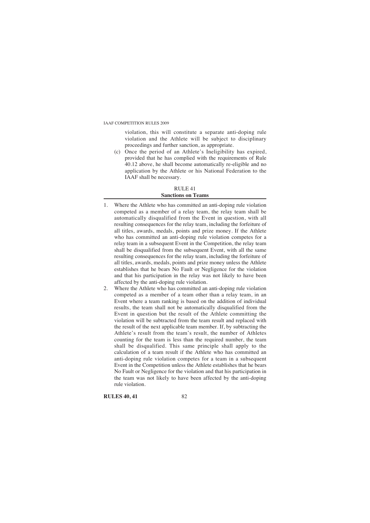violation, this will constitute a separate anti-doping rule violation and the Athlete will be subject to disciplinary proceedings and further sanction, as appropriate.

(c) Once the period of an Athlete's Ineligibility has expired, provided that he has complied with the requirements of Rule 40.12 above, he shall become automatically re-eligible and no application by the Athlete or his National Federation to the IAAF shall be necessary.

#### RULE 41 **Sanctions on Teams**

- 1. Where the Athlete who has committed an anti-doping rule violation competed as a member of a relay team, the relay team shall be automatically disqualified from the Event in question, with all resulting consequences for the relay team, including the forfeiture of all titles, awards, medals, points and prize money. If the Athlete who has committed an anti-doping rule violation competes for a relay team in a subsequent Event in the Competition, the relay team shall be disqualified from the subsequent Event, with all the same resulting consequences for the relay team, including the forfeiture of all titles, awards, medals, points and prize money unless the Athlete establishes that he bears No Fault or Negligence for the violation and that his participation in the relay was not likely to have been affected by the anti-doping rule violation.
- 2. Where the Athlete who has committed an anti-doping rule violation competed as a member of a team other than a relay team, in an Event where a team ranking is based on the addition of individual results, the team shall not be automatically disqualified from the Event in question but the result of the Athlete committing the violation will be subtracted from the team result and replaced with the result of the next applicable team member. If, by subtracting the Athlete's result from the team's result, the number of Athletes counting for the team is less than the required number, the team shall be disqualified. This same principle shall apply to the calculation of a team result if the Athlete who has committed an anti-doping rule violation competes for a team in a subsequent Event in the Competition unless the Athlete establishes that he bears No Fault or Negligence for the violation and that his participation in the team was not likely to have been affected by the anti-doping rule violation.

**RULES 40.41** 82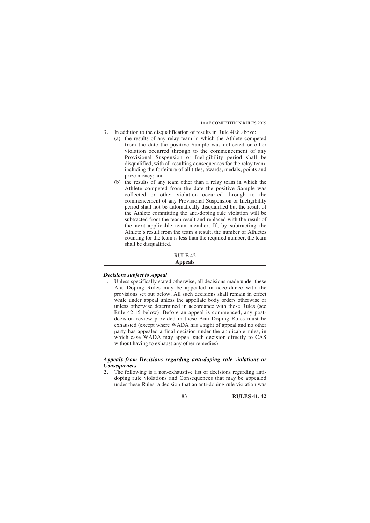- 3. In addition to the disqualification of results in Rule 40.8 above:
	- (a) the results of any relay team in which the Athlete competed from the date the positive Sample was collected or other violation occurred through to the commencement of any Provisional Suspension or Ineligibility period shall be disqualified, with all resulting consequences for the relay team, including the forfeiture of all titles, awards, medals, points and prize money; and
	- (b) the results of any team other than a relay team in which the Athlete competed from the date the positive Sample was collected or other violation occurred through to the commencement of any Provisional Suspension or Ineligibility period shall not be automatically disqualified but the result of the Athlete committing the anti-doping rule violation will be subtracted from the team result and replaced with the result of the next applicable team member. If, by subtracting the Athlete's result from the team's result, the number of Athletes counting for the team is less than the required number, the team shall be disqualified.

#### RULE 42 **Appeals**

#### *Decisions subject to Appeal*

1. Unless specifically stated otherwise, all decisions made under these Anti-Doping Rules may be appealed in accordance with the provisions set out below. All such decisions shall remain in effect while under appeal unless the appellate body orders otherwise or unless otherwise determined in accordance with these Rules (see Rule 42.15 below). Before an appeal is commenced, any postdecision review provided in these Anti-Doping Rules must be exhausted (except where WADA has a right of appeal and no other party has appealed a final decision under the applicable rules, in which case WADA may appeal such decision directly to CAS without having to exhaust any other remedies).

# *Appeals from Decisions regarding anti-doping rule violations or Consequences*

2. The following is a non-exhaustive list of decisions regarding antidoping rule violations and Consequences that may be appealed under these Rules: a decision that an anti-doping rule violation was

83 **RULES 41, 42**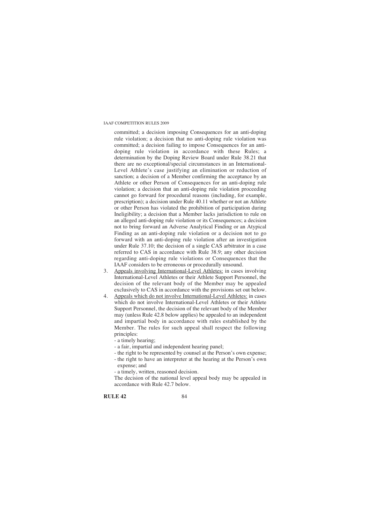committed; a decision imposing Consequences for an anti-doping rule violation; a decision that no anti-doping rule violation was committed; a decision failing to impose Consequences for an antidoping rule violation in accordance with these Rules; a determination by the Doping Review Board under Rule 38.21 that there are no exceptional/special circumstances in an International-Level Athlete's case justifying an elimination or reduction of sanction; a decision of a Member confirming the acceptance by an Athlete or other Person of Consequences for an anti-doping rule violation; a decision that an anti-doping rule violation proceeding cannot go forward for procedural reasons (including, for example, prescription); a decision under Rule 40.11 whether or not an Athlete or other Person has violated the prohibition of participation during Ineligibility; a decision that a Member lacks jurisdiction to rule on an alleged anti-doping rule violation or its Consequences; a decision not to bring forward an Adverse Analytical Finding or an Atypical Finding as an anti-doping rule violation or a decision not to go forward with an anti-doping rule violation after an investigation under Rule 37.10; the decision of a single CAS arbitrator in a case referred to CAS in accordance with Rule 38.9; any other decision regarding anti-doping rule violations or Consequences that the IAAF considers to be erroneous or procedurally unsound.

- 3. Appeals involving International-Level Athletes: in cases involving International-Level Athletes or their Athlete Support Personnel, the decision of the relevant body of the Member may be appealed exclusively to CAS in accordance with the provisions set out below.
- 4. Appeals which do not involve International-Level Athletes: in cases which do not involve International-Level Athletes or their Athlete Support Personnel, the decision of the relevant body of the Member may (unless Rule 42.8 below applies) be appealed to an independent and impartial body in accordance with rules established by the Member. The rules for such appeal shall respect the following principles:
	- a timely hearing;
	- a fair, impartial and independent hearing panel;
	- the right to be represented by counsel at the Person's own expense; - the right to have an interpreter at the hearing at the Person's own
		- expense; and
	- a timely, written, reasoned decision.
	- The decision of the national level appeal body may be appealed in accordance with Rule 42.7 below.

**RULE 42** 84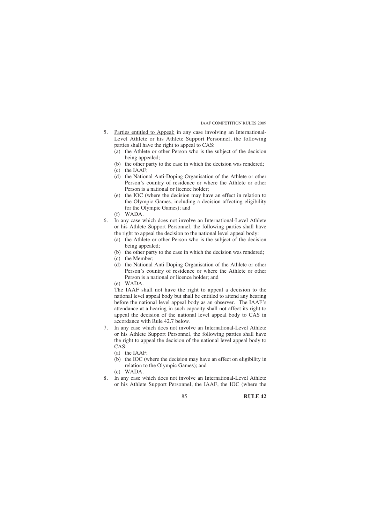- 5. Parties entitled to Appeal: in any case involving an International-Level Athlete or his Athlete Support Personnel, the following parties shall have the right to appeal to CAS:
	- (a) the Athlete or other Person who is the subject of the decision being appealed;
	- (b) the other party to the case in which the decision was rendered;
	- (c) the IAAF;
	- (d) the National Anti-Doping Organisation of the Athlete or other Person's country of residence or where the Athlete or other Person is a national or licence holder;
	- (e) the IOC (where the decision may have an effect in relation to the Olympic Games, including a decision affecting eligibility for the Olympic Games); and
	- (f) WADA.
- 6. In any case which does not involve an International-Level Athlete or his Athlete Support Personnel, the following parties shall have the right to appeal the decision to the national level appeal body:
	- (a) the Athlete or other Person who is the subject of the decision being appealed;
	- (b) the other party to the case in which the decision was rendered;
	- (c) the Member;
	- (d) the National Anti-Doping Organisation of the Athlete or other Person's country of residence or where the Athlete or other Person is a national or licence holder; and

(e) WADA.

The IAAF shall not have the right to appeal a decision to the national level appeal body but shall be entitled to attend any hearing before the national level appeal body as an observer. The IAAF's attendance at a hearing in such capacity shall not affect its right to appeal the decision of the national level appeal body to CAS in accordance with Rule 42.7 below.

- 7. In any case which does not involve an International-Level Athlete or his Athlete Support Personnel, the following parties shall have the right to appeal the decision of the national level appeal body to CAS:
	- (a) the IAAF;
	- (b) the IOC (where the decision may have an effect on eligibility in relation to the Olympic Games); and
	- (c) WADA.
- 8. In any case which does not involve an International-Level Athlete or his Athlete Support Personnel, the IAAF, the IOC (where the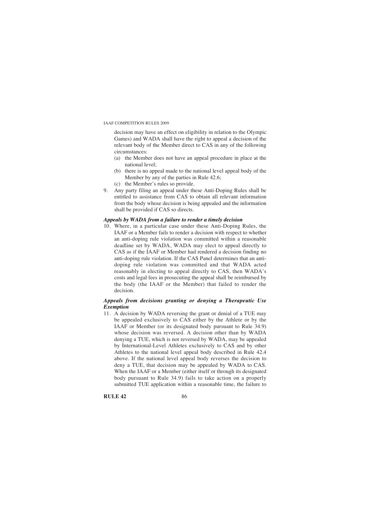decision may have an effect on eligibility in relation to the Olympic Games) and WADA shall have the right to appeal a decision of the relevant body of the Member direct to CAS in any of the following circumstances:

- (a) the Member does not have an appeal procedure in place at the national level;
- (b) there is no appeal made to the national level appeal body of the Member by any of the parties in Rule 42.6;
- (c) the Member's rules so provide.
- 9. Any party filing an appeal under these Anti-Doping Rules shall be entitled to assistance from CAS to obtain all relevant information from the body whose decision is being appealed and the information shall be provided if CAS so directs.

# *Appeals by WADA from a failure to render a timely decision*

10. Where, in a particular case under these Anti-Doping Rules, the IAAF or a Member fails to render a decision with respect to whether an anti-doping rule violation was committed within a reasonable deadline set by WADA, WADA may elect to appeal directly to CAS as if the IAAF or Member had rendered a decision finding no anti-doping rule violation. If the CAS Panel determines that an antidoping rule violation was committed and that WADA acted reasonably in electing to appeal directly to CAS, then WADA's costs and legal fees in prosecuting the appeal shall be reimbursed by the body (the IAAF or the Member) that failed to render the decision.

# *Appeals from decisions granting or denying a Therapeutic Use Exemption*

11. A decision by WADA reversing the grant or denial of a TUE may be appealed exclusively to CAS either by the Athlete or by the IAAF or Member (or its designated body pursuant to Rule 34.9) whose decision was reversed. A decision other than by WADA denying a TUE, which is not reversed by WADA, may be appealed by International-Level Athletes exclusively to CAS and by other Athletes to the national level appeal body described in Rule 42.4 above. If the national level appeal body reverses the decision to deny a TUE, that decision may be appealed by WADA to CAS. When the IAAF or a Member (either itself or through its designated body pursuant to Rule 34.9) fails to take action on a properly submitted TUE application within a reasonable time, the failure to

**RULE 42** 86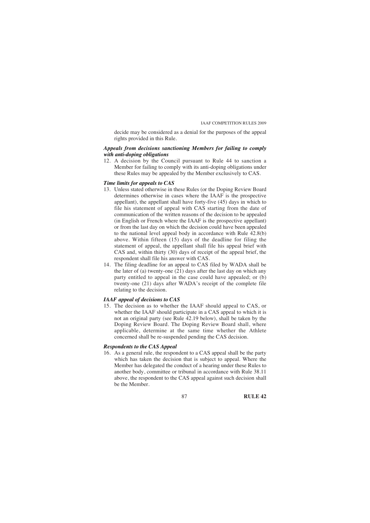decide may be considered as a denial for the purposes of the appeal rights provided in this Rule.

# *Appeals from decisions sanctioning Members for failing to comply with anti-doping obligations*

12. A decision by the Council pursuant to Rule 44 to sanction a Member for failing to comply with its anti-doping obligations under these Rules may be appealed by the Member exclusively to CAS.

# *Time limits for appeals to CAS*

- 13. Unless stated otherwise in these Rules (or the Doping Review Board determines otherwise in cases where the IAAF is the prospective appellant), the appellant shall have forty-five (45) days in which to file his statement of appeal with CAS starting from the date of communication of the written reasons of the decision to be appealed (in English or French where the IAAF is the prospective appellant) or from the last day on which the decision could have been appealed to the national level appeal body in accordance with Rule 42.8(b) above. Within fifteen (15) days of the deadline for filing the statement of appeal, the appellant shall file his appeal brief with CAS and, within thirty (30) days of receipt of the appeal brief, the respondent shall file his answer with CAS.
- 14. The filing deadline for an appeal to CAS filed by WADA shall be the later of (a) twenty-one  $(21)$  days after the last day on which any party entitled to appeal in the case could have appealed; or (b) twenty-one (21) days after WADA's receipt of the complete file relating to the decision.

#### *IAAF appeal of decisions to CAS*

15. The decision as to whether the IAAF should appeal to CAS, or whether the IAAF should participate in a CAS appeal to which it is not an original party (see Rule 42.19 below), shall be taken by the Doping Review Board. The Doping Review Board shall, where applicable, determine at the same time whether the Athlete concerned shall be re-suspended pending the CAS decision.

# *Respondents to the CAS Appeal*

16. As a general rule, the respondent to a CAS appeal shall be the party which has taken the decision that is subject to appeal. Where the Member has delegated the conduct of a hearing under these Rules to another body, committee or tribunal in accordance with Rule 38.11 above, the respondent to the CAS appeal against such decision shall be the Member.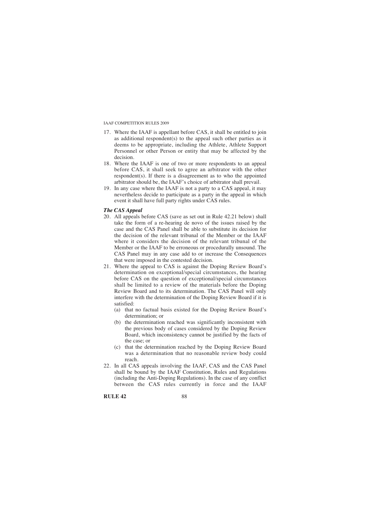- 17. Where the IAAF is appellant before CAS, it shall be entitled to join as additional respondent(s) to the appeal such other parties as it deems to be appropriate, including the Athlete, Athlete Support Personnel or other Person or entity that may be affected by the decision.
- 18. Where the IAAF is one of two or more respondents to an appeal before CAS, it shall seek to agree an arbitrator with the other respondent(s). If there is a disagreement as to who the appointed arbitrator should be, the IAAF's choice of arbitrator shall prevail.
- 19. In any case where the IAAF is not a party to a CAS appeal, it may nevertheless decide to participate as a party in the appeal in which event it shall have full party rights under CAS rules.

#### *The CAS Appeal*

- 20. All appeals before CAS (save as set out in Rule 42.21 below) shall take the form of a re-hearing de novo of the issues raised by the case and the CAS Panel shall be able to substitute its decision for the decision of the relevant tribunal of the Member or the IAAF where it considers the decision of the relevant tribunal of the Member or the IAAF to be erroneous or procedurally unsound. The CAS Panel may in any case add to or increase the Consequences that were imposed in the contested decision.
- 21. Where the appeal to CAS is against the Doping Review Board's determination on exceptional/special circumstances, the hearing before CAS on the question of exceptional/special circumstances shall be limited to a review of the materials before the Doping Review Board and to its determination. The CAS Panel will only interfere with the determination of the Doping Review Board if it is satisfied:
	- (a) that no factual basis existed for the Doping Review Board's determination; or
	- (b) the determination reached was significantly inconsistent with the previous body of cases considered by the Doping Review Board, which inconsistency cannot be justified by the facts of the case; or
	- (c) that the determination reached by the Doping Review Board was a determination that no reasonable review body could reach.
- 22. In all CAS appeals involving the IAAF, CAS and the CAS Panel shall be bound by the IAAF Constitution, Rules and Regulations (including the Anti-Doping Regulations). In the case of any conflict between the CAS rules currently in force and the IAAF

**RULE 42** 88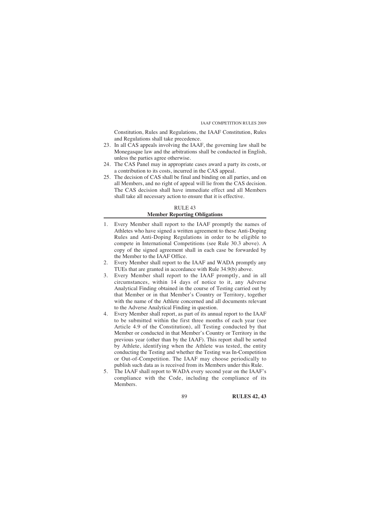Constitution, Rules and Regulations, the IAAF Constitution, Rules and Regulations shall take precedence.

- 23. In all CAS appeals involving the IAAF, the governing law shall be Monegasque law and the arbitrations shall be conducted in English, unless the parties agree otherwise.
- 24. The CAS Panel may in appropriate cases award a party its costs, or a contribution to its costs, incurred in the CAS appeal.
- 25. The decision of CAS shall be final and binding on all parties, and on all Members, and no right of appeal will lie from the CAS decision. The CAS decision shall have immediate effect and all Members shall take all necessary action to ensure that it is effective.

# RULE 43 **Member Reporting Obligations**

- 1. Every Member shall report to the IAAF promptly the names of Athletes who have signed a written agreement to these Anti-Doping Rules and Anti-Doping Regulations in order to be eligible to compete in International Competitions (see Rule 30.3 above). A copy of the signed agreement shall in each case be forwarded by the Member to the IAAF Office.
- 2. Every Member shall report to the IAAF and WADA promptly any TUEs that are granted in accordance with Rule 34.9(b) above.
- 3. Every Member shall report to the IAAF promptly, and in all circumstances, within 14 days of notice to it, any Adverse Analytical Finding obtained in the course of Testing carried out by that Member or in that Member's Country or Territory, together with the name of the Athlete concerned and all documents relevant to the Adverse Analytical Finding in question.
- 4. Every Member shall report, as part of its annual report to the IAAF to be submitted within the first three months of each year (see Article 4.9 of the Constitution), all Testing conducted by that Member or conducted in that Member's Country or Territory in the previous year (other than by the IAAF). This report shall be sorted by Athlete, identifying when the Athlete was tested, the entity conducting the Testing and whether the Testing was In-Competition or Out-of-Competition. The IAAF may choose periodically to publish such data as is received from its Members under this Rule.
- 5. The IAAF shall report to WADA every second year on the IAAF's compliance with the Code, including the compliance of its Members.

89 **RULES 42, 43**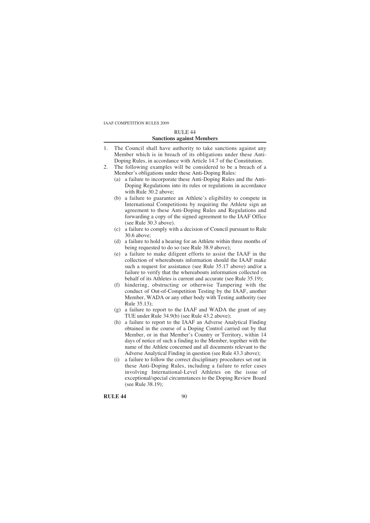# RULE 44 **Sanctions against Members**

- 1. The Council shall have authority to take sanctions against any Member which is in breach of its obligations under these Anti-Doping Rules, in accordance with Article 14.7 of the Constitution.
- 2. The following examples will be considered to be a breach of a Member's obligations under these Anti-Doping Rules:
	- (a) a failure to incorporate these Anti-Doping Rules and the Anti-Doping Regulations into its rules or regulations in accordance with Rule 30.2 above;
	- (b) a failure to guarantee an Athlete's eligibility to compete in International Competitions by requiring the Athlete sign an agreement to these Anti-Doping Rules and Regulations and forwarding a copy of the signed agreement to the IAAF Office (see Rule 30.3 above).
	- (c) a failure to comply with a decision of Council pursuant to Rule 30.6 above;
	- (d) a failure to hold a hearing for an Athlete within three months of being requested to do so (see Rule 38.9 above);
	- (e) a failure to make diligent efforts to assist the IAAF in the collection of whereabouts information should the IAAF make such a request for assistance (see Rule 35.17 above) and/or a failure to verify that the whereabouts information collected on behalf of its Athletes is current and accurate (see Rule 35.19);
	- (f) hindering, obstructing or otherwise Tampering with the conduct of Out-of-Competition Testing by the IAAF, another Member, WADA or any other body with Testing authority (see Rule 35.13);
	- (g) a failure to report to the IAAF and WADA the grant of any TUE under Rule 34.9(b) (see Rule 43.2 above);
	- (h) a failure to report to the IAAF an Adverse Analytical Finding obtained in the course of a Doping Control carried out by that Member, or in that Member's Country or Territory, within 14 days of notice of such a finding to the Member, together with the name of the Athlete concerned and all documents relevant to the Adverse Analytical Finding in question (see Rule 43.3 above);
	- (i) a failure to follow the correct disciplinary procedures set out in these Anti-Doping Rules, including a failure to refer cases involving International-Level Athletes on the issue of exceptional/special circumstances to the Doping Review Board (see Rule 38.19);

**RULE 44** 90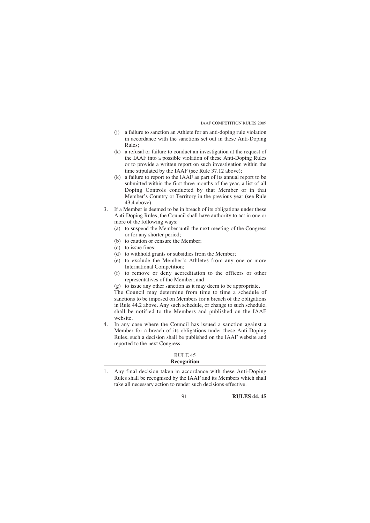- (j) a failure to sanction an Athlete for an anti-doping rule violation in accordance with the sanctions set out in these Anti-Doping Rules;
- (k) a refusal or failure to conduct an investigation at the request of the IAAF into a possible violation of these Anti-Doping Rules or to provide a written report on such investigation within the time stipulated by the IAAF (see Rule 37.12 above);
- (k) a failure to report to the IAAF as part of its annual report to be submitted within the first three months of the year, a list of all Doping Controls conducted by that Member or in that Member's Country or Territory in the previous year (see Rule 43.4 above).
- 3. If a Member is deemed to be in breach of its obligations under these Anti-Doping Rules, the Council shall have authority to act in one or more of the following ways:
	- (a) to suspend the Member until the next meeting of the Congress or for any shorter period;
	- (b) to caution or censure the Member;
	- (c) to issue fines;
	- (d) to withhold grants or subsidies from the Member;
	- (e) to exclude the Member's Athletes from any one or more International Competition;
	- (f) to remove or deny accreditation to the officers or other representatives of the Member; and
	- (g) to issue any other sanction as it may deem to be appropriate.

The Council may determine from time to time a schedule of sanctions to be imposed on Members for a breach of the obligations in Rule 44.2 above. Any such schedule, or change to such schedule, shall be notified to the Members and published on the IAAF website.

4. In any case where the Council has issued a sanction against a Member for a breach of its obligations under these Anti-Doping Rules, such a decision shall be published on the IAAF website and reported to the next Congress.

#### RULE 45 **Recognition**

1. Any final decision taken in accordance with these Anti-Doping Rules shall be recognised by the IAAF and its Members which shall take all necessary action to render such decisions effective.

91 **RULES 44, 45**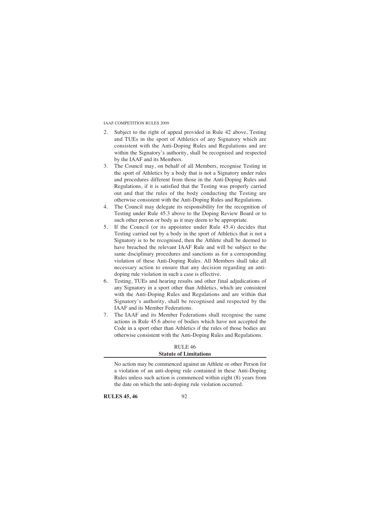- 2. Subject to the right of appeal provided in Rule 42 above, Testing and TUEs in the sport of Athletics of any Signatory which are consistent with the Anti-Doping Rules and Regulations and are within the Signatory's authority, shall be recognised and respected by the IAAF and its Members.
- 3. The Council may, on behalf of all Members, recognise Testing in the sport of Athletics by a body that is not a Signatory under rules and procedures different from those in the Anti-Doping Rules and Regulations, if it is satisfied that the Testing was properly carried out and that the rules of the body conducting the Testing are otherwise consistent with the Anti-Doping Rules and Regulations.
- 4. The Council may delegate its responsibility for the recognition of Testing under Rule 45.3 above to the Doping Review Board or to such other person or body as it may deem to be appropriate.
- 5. If the Council (or its appointee under Rule 45.4) decides that Testing carried out by a body in the sport of Athletics that is not a Signatory is to be recognised, then the Athlete shall be deemed to have breached the relevant IAAF Rule and will be subject to the same disciplinary procedures and sanctions as for a corresponding violation of these Anti-Doping Rules. All Members shall take all necessary action to ensure that any decision regarding an antidoping rule violation in such a case is effective.
- 6. Testing, TUEs and hearing results and other final adjudications of any Signatory in a sport other than Athletics, which are consistent with the Anti-Doping Rules and Regulations and are within that Signatory's authority, shall be recognised and respected by the IAAF and its Member Federations.
- 7. The IAAF and its Member Federations shall recognise the same actions in Rule 45.6 above of bodies which have not accepted the Code in a sport other than Athletics if the rules of those bodies are otherwise consistent with the Anti-Doping Rules and Regulations.

# RULE 46 **Statute of Limitations**

No action may be commenced against an Athlete or other Person for a violation of an anti-doping rule contained in these Anti-Doping Rules unless such action is commenced within eight (8) years from the date on which the anti-doping rule violation occurred.

**RULES 45, 46** 92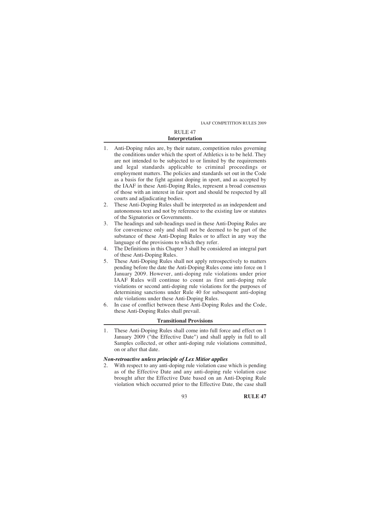# RULE 47 **Interpretation**

- 1. Anti-Doping rules are, by their nature, competition rules governing the conditions under which the sport of Athletics is to be held. They are not intended to be subjected to or limited by the requirements and legal standards applicable to criminal proceedings or employment matters. The policies and standards set out in the Code as a basis for the fight against doping in sport, and as accepted by the IAAF in these Anti-Doping Rules, represent a broad consensus of those with an interest in fair sport and should be respected by all courts and adjudicating bodies.
- 2. These Anti-Doping Rules shall be interpreted as an independent and autonomous text and not by reference to the existing law or statutes of the Signatories or Governments.
- 3. The headings and sub-headings used in these Anti-Doping Rules are for convenience only and shall not be deemed to be part of the substance of these Anti-Doping Rules or to affect in any way the language of the provisions to which they refer.
- 4. The Definitions in this Chapter 3 shall be considered an integral part of these Anti-Doping Rules.
- 5. These Anti-Doping Rules shall not apply retrospectively to matters pending before the date the Anti-Doping Rules come into force on 1 January 2009. However, anti-doping rule violations under prior IAAF Rules will continue to count as first anti-doping rule violations or second anti-doping rule violations for the purposes of determining sanctions under Rule 40 for subsequent anti-doping rule violations under these Anti-Doping Rules.
- 6. In case of conflict between these Anti-Doping Rules and the Code, these Anti-Doping Rules shall prevail.

# **Transitional Provisions**

1. These Anti-Doping Rules shall come into full force and effect on 1 January 2009 ("the Effective Date") and shall apply in full to all Samples collected, or other anti-doping rule violations committed, on or after that date.

# *Non-retroactive unless principle of Lex Mitior applies*

2. With respect to any anti-doping rule violation case which is pending as of the Effective Date and any anti-doping rule violation case brought after the Effective Date based on an Anti-Doping Rule violation which occurred prior to the Effective Date, the case shall